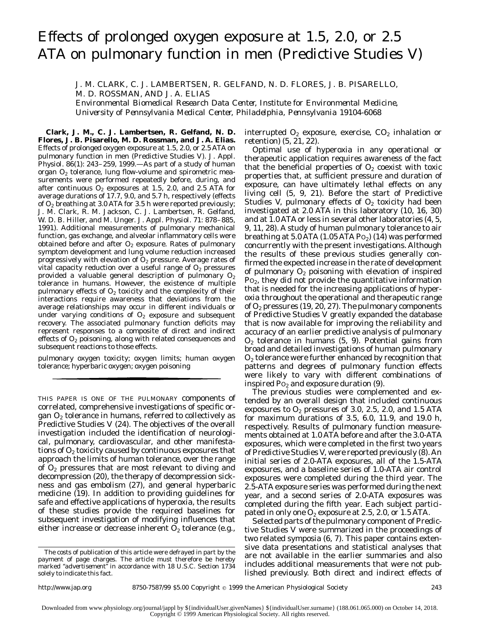# Effects of prolonged oxygen exposure at 1.5, 2.0, or 2.5 ATA on pulmonary function in men (Predictive Studies V)

J. M. CLARK, C. J. LAMBERTSEN, R. GELFAND, N. D. FLORES, J. B. PISARELLO, M. D. ROSSMAN, AND J. A. ELIAS

*Environmental Biomedical Research Data Center, Institute for Environmental Medicine, University of Pennsylvania Medical Center, Philadelphia, Pennsylvania 19104-6068*

**Clark, J. M., C. J. Lambertsen, R. Gelfand, N. D. Flores, J. B. Pisarello, M. D. Rossman, and J. A. Elias.** Effects of prolonged oxygen exposure at 1.5, 2.0, or 2.5 ATA on pulmonary function in men (Predictive Studies V). *J. Appl. Physiol.* 86(1): 243–259, 1999.—As part of a study of human organ O<sub>2</sub> tolerance, lung flow-volume and spirometric measurements were performed repeatedly before, during, and after continuous  $O_2$  exposures at 1.5, 2.0, and 2.5 ATA for average durations of 17.7, 9.0, and 5.7 h, respectively (effects of  $O_2$  breathing at 3.0 ATA for 3.5 h were reported previously; J. M. Clark, R. M. Jackson, C. J. Lambertsen, R. Gelfand, W. D. B. Hiller, and M. Unger. *J. Appl. Physiol.* 71: 878–885, 1991). Additional measurements of pulmonary mechanical function, gas exchange, and alveolar inflammatory cells were obtained before and after  $O<sub>2</sub>$  exposure. Rates of pulmonary symptom development and lung volume reduction increased progressively with elevation of  $O_2$  pressure. Average rates of vital capacity reduction over a useful range of  $O<sub>2</sub>$  pressures provided a valuable general description of pulmonary  $O_2$ tolerance in humans. However, the existence of multiple pulmonary effects of  $O_2$  toxicity and the complexity of their interactions require awareness that deviations from the average relationships may occur in different individuals or under varying conditions of  $O<sub>2</sub>$  exposure and subsequent recovery. The associated pulmonary function deficits may represent responses to a composite of direct and indirect effects of  $O<sub>2</sub>$  poisoning, along with related consequences and subsequent reactions to those effects.

pulmonary oxygen toxicity; oxygen limits; human oxygen tolerance; hyperbaric oxygen; oxygen poisoning

THIS PAPER IS ONE OF THE PULMONARY components of correlated, comprehensive investigations of specific organ  $O_2$  tolerance in humans, referred to collectively as Predictive Studies V (24). The objectives of the overall investigation included the identification of neurological, pulmonary, cardiovascular, and other manifestations of  $O_2$  toxicity caused by continuous exposures that approach the limits of human tolerance, over the range of  $O<sub>2</sub>$  pressures that are most relevant to diving and decompression (20), the therapy of decompression sickness and gas embolism (27), and general hyperbaric medicine (19). In addition to providing guidelines for safe and effective applications of hyperoxia, the results of these studies provide the required baselines for subsequent investigation of modifying influences that either increase or decrease inherent  $O_2$  tolerance (e.g.,

interrupted  $O_2$  exposure, exercise,  $CO_2$  inhalation or retention) (5, 21, 22).

Optimal use of hyperoxia in any operational or therapeutic application requires awareness of the fact that the beneficial properties of  $O_2$  coexist with toxic properties that, at sufficient pressure and duration of exposure, can have ultimately lethal effects on any living cell (5, 9, 21). Before the start of Predictive Studies V, pulmonary effects of  $O<sub>2</sub>$  toxicity had been investigated at 2.0 ATA in this laboratory (10, 16, 30) and at  $1.0$  ATA or less in several other laboratories  $(4, 5, 1)$ 9, 11, 28). A study of human pulmonary tolerance to air breathing at  $5.0$  ATA (1.05 ATA P $o_2$ ) (14) was performed concurrently with the present investigations. Although the results of these previous studies generally confirmed the expected increase in the rate of development of pulmonary  $O_2$  poisoning with elevation of inspired P<sub>O<sub>2</sub>, they did not provide the quantitative information</sub> that is needed for the increasing applications of hyperoxia throughout the operational and therapeutic range of  $O_2$  pressures (19, 20, 27). The pulmonary components of Predictive Studies V greatly expanded the database that is now available for improving the reliability and accuracy of an earlier predictive analysis of pulmonary  $O<sub>2</sub>$  tolerance in humans (5, 9). Potential gains from broad and detailed investigations of human pulmonary  $O<sub>2</sub>$  tolerance were further enhanced by recognition that patterns and degrees of pulmonary function effects were likely to vary with different combinations of inspired  $Po_2$  and exposure duration (9).

The previous studies were complemented and extended by an overall design that included continuous exposures to  $O_2$  pressures of 3.0, 2.5, 2.0, and 1.5 ATA for maximum durations of 3.5, 6.0, 11.9, and 19.0 h, respectively. Results of pulmonary function measurements obtained at 1.0 ATA before and after the 3.0-ATA exposures, which were completed in the first two years of Predictive Studies V, were reported previously (8). An initial series of 2.0-ATA exposures, all of the 1.5-ATA exposures, and a baseline series of 1.0-ATA air control exposures were completed during the third year. The 2.5-ATA exposure series was performed during the next year, and a second series of 2.0-ATA exposures was completed during the fifth year. Each subject participated in only one  $O_2$  exposure at 2.5, 2.0, or 1.5 ATA.

Selected parts of the pulmonary component of Predictive Studies V were summarized in the proceedings of two related symposia (6, 7). This paper contains extensive data presentations and statistical analyses that are not available in the earlier summaries and also includes additional measurements that were not published previously. Both direct and indirect effects of

The costs of publication of this article were defrayed in part by the payment of page charges. The article must therefore be hereby marked ''*advertisement*'' in accordance with 18 U.S.C. Section 1734 solely to indicate this fact.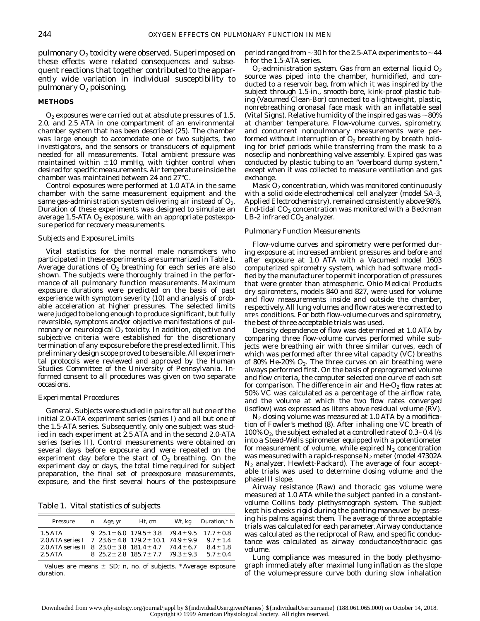pulmonary  $O_2$  toxicity were observed. Superimposed on these effects were related consequences and subsequent reactions that together contributed to the apparently wide variation in individual susceptibility to pulmonary  $O_2$  poisoning.

## **METHODS**

 $O<sub>2</sub>$  exposures were carried out at absolute pressures of 1.5, 2.0, and 2.5 ATA in one compartment of an environmental chamber system that has been described (25). The chamber was large enough to accomodate one or two subjects, two investigators, and the sensors or transducers of equipment needed for all measurements. Total ambient pressure was maintained within  $\pm 10$  mmHg, with tighter control when desired for specific measurements. Air temperature inside the chamber was maintained between 24 and 27°C.

Control exposures were performed at 1.0 ATA in the same chamber with the same measurement equipment and the same gas-administration system delivering air instead of  $O<sub>2</sub>$ . Duration of these experiments was designed to simulate an average 1.5-ATA  $O_2$  exposure, with an appropriate postexposure period for recovery measurements.

### *Subjects and Exposure Limits*

Vital statistics for the normal male nonsmokers who participated in these experiments are summarized in Table 1. Average durations of  $O<sub>2</sub>$  breathing for each series are also shown. The subjects were thoroughly trained in the performance of all pulmonary function measurements. Maximum exposure durations were predicted on the basis of past experience with symptom severity (10) and analysis of probable acceleration at higher pressures. The selected limits were judged to be long enough to produce significant, but fully reversible, symptoms and/or objective manifestations of pulmonary or neurological  $O_2$  toxicity. In addition, objective and subjective criteria were established for the discretionary termination of any exposure before the preselected limit. This preliminary design scope proved to be sensible. All experimental protocols were reviewed and approved by the Human Studies Committee of the University of Pennsylvania. Informed consent to all procedures was given on two separate occasions.

#### *Experimental Procedures*

*General.* Subjects were studied in pairs for all but one of the initial 2.0-ATA experiment series (*series I*) and all but one of the 1.5-ATA series. Subsequently, only one subject was studied in each experiment at 2.5 ATA and in the second 2.0-ATA series (*series II*). Control measurements were obtained on several days before exposure and were repeated on the experiment day before the start of  $O_2$  breathing. On the experiment day or days, the total time required for subject preparation, the final set of preexposure measurements, exposure, and the first several hours of the postexposure

Table 1. *Vital statistics of subjects*

| Pressure                                                                                                                                                                           | $n$ Age, yr | Ht, cm                                                                                            | Wt. kg $Duration.*$ h                       |
|------------------------------------------------------------------------------------------------------------------------------------------------------------------------------------|-------------|---------------------------------------------------------------------------------------------------|---------------------------------------------|
| 1.5 ATA<br>2.0 ATA series $I \quad 7 \quad 23.6 \pm 4.8 \quad 179.2 \pm 10.1 \quad 74.9 \pm 9.9$<br>2.0 ATA series $II$ 8 23.0 $\pm$ 3.8 181.4 $\pm$ 4.7 74.4 $\pm$ 6.7<br>2.5 ATA |             | 9 25.1 ± 6.0 179.5 ± 3.8 79.4 ± 9.5 17.7 ± 0.8<br>8 $25.2 \pm 2.8$ $185.7 \pm 7.7$ $79.3 \pm 9.3$ | $9.7 + 1.4$<br>$8.4 + 1.8$<br>$5.7 \pm 0.4$ |

Values are means  $\pm$  SD; *n*, no. of subjects. \*Average exposure duration.

period ranged from  $\sim$  30 h for the 2.5-ATA experiments to  $\sim$  44 h for the 1.5-ATA series.

 $O<sub>2</sub>$ -administration system. Gas from an external liquid  $O<sub>2</sub>$ source was piped into the chamber, humidified, and conducted to a reservoir bag, from which it was inspired by the subject through 1.5-in., smooth-bore, kink-proof plastic tubing (Vacumed Clean-Bor) connected to a lightweight, plastic, nonrebreathing oronasal face mask with an inflatable seal (Vital Signs). Relative humidity of the inspired gas was  $\sim$ 80% at chamber temperature. Flow-volume curves, spirometry, and concurrent nonpulmonary measurements were performed without interruption of  $O_2$  breathing by breath holding for brief periods while transferring from the mask to a noseclip and nonbreathing valve assembly. Expired gas was conducted by plastic tubing to an ''overboard dump system,'' except when it was collected to measure ventilation and gas exchange.

Mask  $O_2$  concentration, which was monitored continuously with a solid oxide electrochemical cell analyzer (model SA-3, Applied Electrochemistry), remained consistently above 98%. End-tidal  $CO<sub>2</sub>$  concentration was monitored with a Beckman LB-2 infrared  $CO<sub>2</sub>$  analyzer.

## *Pulmonary Function Measurements*

Flow-volume curves and spirometry were performed during exposure at increased ambient pressures and before and after exposure at 1.0 ATA with a Vacumed model 1603 computerized spirometry system, which had software modified by the manufacturer to permit incorporation of pressures that were greater than atmospheric. Ohio Medical Products dry spirometers, models 840 and 827, were used for volume and flow measurements inside and outside the chamber, respectively. All lung volumes and flow rates were corrected to BTPS conditions. For both flow-volume curves and spirometry, the best of three acceptable trials was used.

Density dependence of flow was determined at 1.0 ATA by comparing three flow-volume curves performed while subjects were breathing air with three similar curves, each of which was performed after three vital capacity (VC) breaths of 80% He-20%  $O_2$ . The three curves on air breathing were always performed first. On the basis of preprogramed volume and flow criteria, the computer selected one curve of each set for comparison. The difference in air and  $He-O<sub>2</sub>$  flow rates at 50% VC was calculated as a percentage of the airflow rate, and the volume at which the two flow rates converged (isoflow) was expressed as liters above residual volume (RV).

 $N_2$  closing volume was measured at 1.0 ATA by a modification of Fowler's method (8). After inhaling one VC breath of 100%  $O_2$ , the subject exhaled at a controlled rate of 0.3–0.4 l/s into a Stead-Wells spirometer equipped with a potentiometer for measurement of volume, while expired  $N_2$  concentration was measured with a rapid-response  $N_2$  meter (model 47302A  $N_2$  analyzer, Hewlett-Packard). The average of four acceptable trials was used to determine closing volume and the *phase III* slope.

Airway resistance (Raw) and thoracic gas volume were measured at 1.0 ATA while the subject panted in a constantvolume Collins body plethysmograph system. The subject kept his cheeks rigid during the panting maneuver by pressing his palms against them. The average of three acceptable trials was calculated for each parameter. Airway conductance was calculated as the reciprocal of Raw, and specific conductance was calculated as airway conductance/thoracic gas volume.

Lung compliance was measured in the body plethysmograph immediately after maximal lung inflation as the slope of the volume-pressure curve both during slow inhalation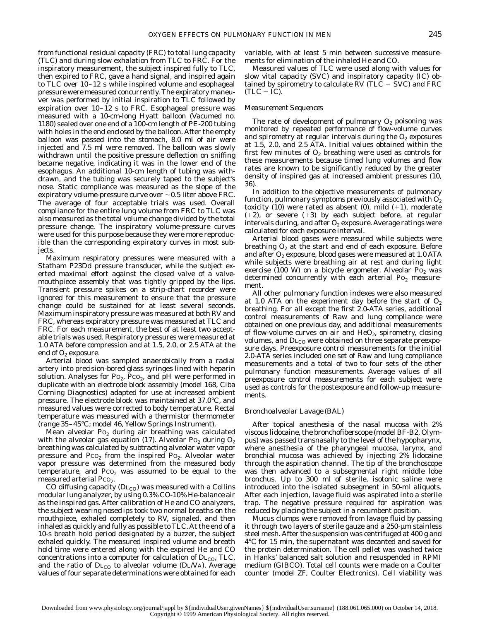from functional residual capacity (FRC) to total lung capacity (TLC) and during slow exhalation from TLC to FRC. For the inspiratory measurement, the subject inspired fully to TLC, then expired to FRC, gave a hand signal, and inspired again to TLC over 10–12 s while inspired volume and esophageal pressure were measured concurrently. The expiratory maneuver was performed by initial inspiration to TLC followed by expiration over 10–12 s to FRC. Esophageal pressure was measured with a 10-cm-long Hyatt balloon (Vacumed no. 1180) sealed over one end of a 100-cm length of PE-200 tubing with holes in the end enclosed by the balloon. After the empty balloon was passed into the stomach, 8.0 ml of air were injected and 7.5 ml were removed. The balloon was slowly withdrawn until the positive pressure deflection on sniffing became negative, indicating it was in the lower end of the esophagus. An additional 10-cm length of tubing was withdrawn, and the tubing was securely taped to the subject's nose. Static compliance was measured as the slope of the expiratory volume-pressure curve over  $\sim$  0.5 liter above FRC. The average of four acceptable trials was used. Overall compliance for the entire lung volume from FRC to TLC was also measured as the total volume change divided by the total pressure change. The inspiratory volume-pressure curves were used for this purpose because they were more reproducible than the corresponding expiratory curves in most subjects.

Maximum respiratory pressures were measured with a Statham P23Dd pressure transducer, while the subject exerted maximal effort against the closed valve of a valvemouthpiece assembly that was tightly gripped by the lips. Transient pressure spikes on a strip-chart recorder were ignored for this measurement to ensure that the pressure change could be sustained for at least several seconds. Maximum inspiratory pressure was measured at both RV and FRC, whereas expiratory pressure was measured at TLC and FRC. For each measurement, the best of at least two acceptable trials was used. Respiratory pressures were measured at 1.0 ATA before compression and at 1.5, 2.0, or 2.5 ATA at the end of  $O_2$  exposure.

Arterial blood was sampled anaerobically from a radial artery into precision-bored glass syringes lined with heparin solution. Analyses for  $Po_2$ ,  $PCO_2$ , and pH were performed in duplicate with an electrode block assembly (model 168, Ciba Corning Diagnostics) adapted for use at increased ambient pressure. The electrode block was maintained at 37.0°C, and measured values were corrected to body temperature. Rectal temperature was measured with a thermistor thermometer (range 35–45°C; model 46, Yellow Springs Instrument).

Mean alveolar Po<sub>2</sub> during air breathing was calculated with the alveolar gas equation (17). Alveolar  $Po_2$  during  $O_2$ breathing was calculated by subtracting alveolar water vapor pressure and  $PCO<sub>2</sub>$  from the inspired  $Po<sub>2</sub>$ . Alveolar water vapor pressure was determined from the measured body temperature, and  $PCO<sub>2</sub>$  was assumed to be equal to the measured arterial Pco<sub>2</sub>.

CO diffusing capacity ( $D_{\text{L}_\text{CO}}$ ) was measured with a Collins modular lung analyzer, by using 0.3% CO-10% He-balance air as the inspired gas. After calibration of He and CO analyzers, the subject wearing noseclips took two normal breaths on the mouthpiece, exhaled completely to RV, signaled, and then inhaled as quickly and fully as possible to TLC. At the end of a 10-s breath hold period designated by a buzzer, the subject exhaled quickly. The measured inspired volume and breath hold time were entered along with the expired He and CO concentrations into a computer for calculation of  $\text{DL}_{\text{CO}}$ , TLC, and the ratio of  $DL_{CO}$  to alveolar volume (DL/VA). Average values of four separate determinations were obtained for each

variable, with at least 5 min between successive measurements for elimination of the inhaled He and CO.

Measured values of TLC were used along with values for slow vital capacity (SVC) and inspiratory capacity (IC) obtained by spirometry to calculate RV (TLC  $-$  SVC) and FRC  $(TLC - IC)$ .

## *Measurement Sequences*

The rate of development of pulmonary  $O<sub>2</sub>$  poisoning was monitored by repeated performance of flow-volume curves and spirometry at regular intervals during the  $O<sub>2</sub>$  exposures at 1.5, 2.0, and 2.5 ATA. Initial values obtained within the first few minutes of  $O_2$  breathing were used as controls for these measurements because timed lung volumes and flow rates are known to be significantly reduced by the greater density of inspired gas at increased ambient pressures (10, 36).

In addition to the objective measurements of pulmonary function, pulmonary symptoms previously associated with  $O_2$ toxicity (10) were rated as absent (0), mild  $(+1)$ , moderate  $(+2)$ , or severe  $(+3)$  by each subject before, at regular intervals during, and after  $O<sub>2</sub>$  exposure. Average ratings were calculated for each exposure interval.

Arterial blood gases were measured while subjects were breathing  $O<sub>2</sub>$  at the start and end of each exposure. Before and after  $O_2$  exposure, blood gases were measured at 1.0 ATA while subjects were breathing air at rest and during light exercise (100 W) on a bicycle ergometer. Alveolar  $Po<sub>2</sub>$  was determined concurrently with each arterial  $Po_2$  measurement.

All other pulmonary function indexes were also measured at 1.0 ATA on the experiment day before the start of  $O_2$ breathing. For all except the first 2.0-ATA series, additional control measurements of Raw and lung compliance were obtained on one previous day, and additional measurements of flow-volume curves on air and  $HeO<sub>2</sub>$ , spirometry, closing volumes, and  $D_{\text{L}_\text{CO}}$  were obtained on three separate preexposure days. Preexposure control measurements for the initial 2.0-ATA series included one set of Raw and lung compliance measurements and a total of two to four sets of the other pulmonary function measurements. Average values of all preexposure control measurements for each subject were used as controls for the postexposure and follow-up measurements.

### *Bronchoalveolar Lavage (BAL)*

After topical anesthesia of the nasal mucosa with 2% viscous lidocaine, the bronchofiberscope (model BF-B2, Olympus) was passed transnasally to the level of the hypopharynx, where anesthesia of the pharyngeal mucosa, larynx, and bronchial mucosa was achieved by injecting 2% lidocaine through the aspiration channel. The tip of the bronchoscope was then advanced to a subsegmental right middle lobe bronchus. Up to 300 ml of sterile, isotonic saline were introduced into the isolated subsegment in 50-ml aliquots. After each injection, lavage fluid was aspirated into a sterile trap. The negative pressure required for aspiration was reduced by placing the subject in a recumbent position.

Mucus clumps were removed from lavage fluid by passing it through two layers of sterile gauze and a 250-µm stainless steel mesh. After the suspension was centrifuged at 400 *g* and 4°C for 15 min, the supernatant was decanted and saved for the protein determination. The cell pellet was washed twice in Hanks' balanced salt solution and resuspended in RPMI medium (GIBCO). Total cell counts were made on a Coulter counter (model ZF, Coulter Electronics). Cell viability was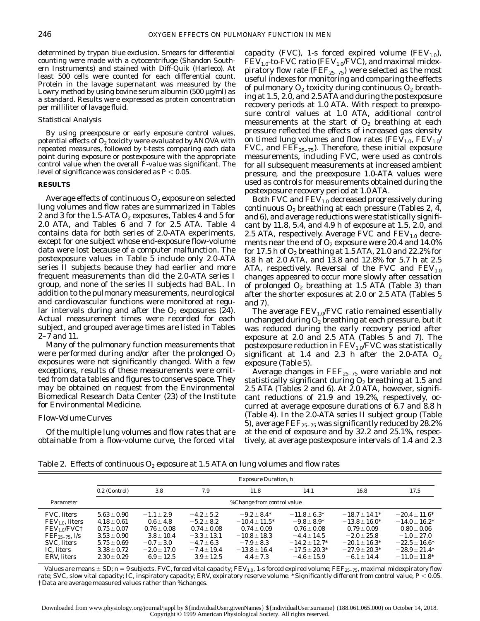determined by trypan blue exclusion. Smears for differential counting were made with a cytocentrifuge (Shandon Southern Instruments) and stained with Diff-Quik (Harleco). At least 500 cells were counted for each differential count. Protein in the lavage supernatant was measured by the Lowry method by using bovine serum albumin  $(500 \mu g/ml)$  as a standard. Results were expressed as protein concentration per milliliter of lavage fluid.

### *Statistical Analysis*

By using preexposure or early exposure control values, potential effects of  $O_2$  toxicity were evaluated by ANOVA with repeated measures, followed by *t*-tests comparing each data point during exposure or postexposure with the appropriate control value when the overall *F*-value was significant. The level of significance was considered as  $P < 0.05$ .

## **RESULTS**

Average effects of continuous  $O_2$  exposure on selected lung volumes and flow rates are summarized in Tables 2 and 3 for the 1.5-ATA  $O_2$  exposures, Tables 4 and 5 for 2.0 ATA, and Tables 6 and 7 for 2.5 ATA. Table 4 contains data for both series of 2.0-ATA experiments, except for one subject whose end-exposure flow-volume data were lost because of a computer malfunction. The postexposure values in Table 5 include only 2.0-ATA *series II* subjects because they had earlier and more frequent measurements than did the 2.0-ATA *series I* group, and none of the *series II* subjects had BAL. In addition to the pulmonary measurements, neurological and cardiovascular functions were monitored at regular intervals during and after the  $O_2$  exposures (24). Actual measurement times were recorded for each subject, and grouped average times are listed in Tables 2–7 and 11.

Many of the pulmonary function measurements that were performed during and/or after the prolonged  $O_2$ exposures were not significantly changed. With a few exceptions, results of these measurements were omitted from data tables and figures to conserve space. They may be obtained on request from the Environmental Biomedical Research Data Center (23) of the Institute for Environmental Medicine.

## *Flow-Volume Curves*

Of the multiple lung volumes and flow rates that are obtainable from a flow-volume curve, the forced vital capacity (FVC), 1-s forced expired volume (FEV<sub>1.0</sub>),  $FEV<sub>1.0</sub>$ -to-FVC ratio (FEV<sub>1.0</sub>/FVC), and maximal midexpiratory flow rate ( $\text{FEF}_{25-75}$ ) were selected as the most useful indexes for monitoring and comparing the effects of pulmonary  $O_2$  toxicity during continuous  $O_2$  breathing at 1.5, 2.0, and 2.5 ATA and during the postexposure recovery periods at 1.0 ATA. With respect to preexposure control values at 1.0 ATA, additional control measurements at the start of  $O<sub>2</sub>$  breathing at each pressure reflected the effects of increased gas density on timed lung volumes and flow rates ( $FEV_{1,0}$ ,  $FEV_{1,0}/$ FVC, and  $\text{FEF}_{25-75}$ ). Therefore, these initial exposure measurements, including FVC, were used as controls for all subsequent measurements at increased ambient pressure, and the preexposure 1.0-ATA values were used as controls for measurements obtained during the postexposure recovery period at 1.0 ATA.

Both FVC and  $FEV_{1,0}$  decreased progressively during continuous  $O_2$  breathing at each pressure (Tables 2, 4, and 6), and average reductions were statistically significant by 11.8, 5.4, and 4.9 h of exposure at 1.5, 2.0, and 2.5 ATA, respectively. Average FVC and  $FEV_{1,0}$  decrements near the end of  $O_2$  exposure were 20.4 and 14.0% for 17.5 h of  $O_2$  breathing at 1.5 ATA, 21.0 and 22.2% for 8.8 h at 2.0 ATA, and 13.8 and 12.8% for 5.7 h at 2.5 ATA, respectively. Reversal of the FVC and  $FEV_{1.0}$ changes appeared to occur more slowly after cessation of prolonged  $O_2$  breathing at 1.5 ATA (Table 3) than after the shorter exposures at 2.0 or 2.5 ATA (Tables 5 and 7).

The average  $FEV_{1.0}/FVC$  ratio remained essentially unchanged during  $O_2$  breathing at each pressure, but it was reduced during the early recovery period after exposure at 2.0 and 2.5 ATA (Tables 5 and 7). The postexposure reduction in  $FEV_{1.0}/FVC$  was statistically significant at 1.4 and 2.3 h after the 2.0-ATA  $O_2$ exposure (Table 5).

Average changes in  $\text{FEF}_{25-75}$  were variable and not statistically significant during  $O_2$  breathing at 1.5 and 2.5 ATA (Tables 2 and 6). At 2.0 ATA, however, significant reductions of 21.9 and 19.2%, respectively, occurred at average exposure durations of 6.7 and 8.8 h (Table 4). In the 2.0-ATA *series II* subject group (Table 5), average  $\text{FEF}_{25-75}$  was significantly reduced by 28.2% at the end of exposure and by 32.2 and 25.1%, respectively, at average postexposure intervals of 1.4 and 2.3

Table 2. *Effects of continuous O<sub>2</sub> exposure at 1.5 ATA on lung volumes and flow rates* 

|                                                                                                                         |                                                                                             |                                                                                        |                                                                                          | <b>Exposure Duration, h</b>                                                                  |                                                                                                |                                                                                                   |                                                                                                      |
|-------------------------------------------------------------------------------------------------------------------------|---------------------------------------------------------------------------------------------|----------------------------------------------------------------------------------------|------------------------------------------------------------------------------------------|----------------------------------------------------------------------------------------------|------------------------------------------------------------------------------------------------|---------------------------------------------------------------------------------------------------|------------------------------------------------------------------------------------------------------|
|                                                                                                                         | 0.2 (Control)                                                                               | 3.8                                                                                    | 7.9                                                                                      | 11.8                                                                                         | 14.1                                                                                           | 16.8                                                                                              | 17.5                                                                                                 |
| Parameter                                                                                                               |                                                                                             |                                                                                        |                                                                                          | %Change from control value                                                                   |                                                                                                |                                                                                                   |                                                                                                      |
| <b>FVC.</b> liters<br>$FEV1.0$ , liters<br>FEV <sub>1.0</sub> /FVC <sup>†</sup><br>$FEF_{25-75}$ , $l/s$<br>SVC. liters | $5.63 \pm 0.90$<br>$4.18 \pm 0.61$<br>$0.75 \pm 0.07$<br>$3.53 \pm 0.90$<br>$5.75 \pm 0.69$ | $-1.1 \pm 2.9$<br>$0.6 \pm 4.8$<br>$0.76 \pm 0.08$<br>$3.8 \pm 10.4$<br>$-0.7 \pm 3.0$ | $-4.2 \pm 5.2$<br>$-5.2 \pm 8.2$<br>$0.74 \pm 0.08$<br>$-3.3 \pm 13.1$<br>$-4.7 \pm 6.3$ | $-9.2 + 8.4*$<br>$-10.4 \pm 11.5^*$<br>$0.74 \pm 0.09$<br>$-10.8 \pm 18.3$<br>$-7.9 \pm 8.3$ | $-11.8 \pm 6.3^*$<br>$-9.8 \pm 8.9*$<br>$0.76 \pm 0.08$<br>$-4.4 + 14.5$<br>$-14.2 \pm 12.7^*$ | $-18.7 \pm 14.1*$<br>$-13.8 \pm 16.0^*$<br>$0.79 \pm 0.09$<br>$-2.0 + 25.8$<br>$-20.1 \pm 16.3^*$ | $-20.4 \pm 11.6^*$<br>$-14.0 \pm 16.2^*$<br>$0.80 \pm 0.06$<br>$-1.0 \pm 27.0$<br>$-22.5 \pm 16.6^*$ |
| IC. liters<br><b>ERV.</b> liters                                                                                        | $3.38 \pm 0.72$<br>$2.30 \pm 0.29$                                                          | $-2.0 \pm 17.0$<br>$6.9 \pm 12.5$                                                      | $-7.4 \pm 19.4$<br>$3.9 \pm 12.5$                                                        | $-13.8 \pm 16.4$<br>$4.4 \pm 7.3$                                                            | $-17.5 \pm 20.3*$<br>$-4.6 \pm 15.9$                                                           | $-27.9 \pm 20.3^*$<br>$-6.1 \pm 14.4$                                                             | $-28.9 \pm 21.4*$<br>$-11.0 \pm 11.8^*$                                                              |

Values are means  $\pm$  SD;  $n = 9$  subjects. FVC, forced vital capacity; FEV<sub>1.0</sub>, 1-s forced expired volume; FEF<sub>25-75</sub>, maximal midexpiratory flow rate; SVC, slow vital capacity; IC, inspiratory capacity; ERV, expiratory reserve volume. \*Significantly different from control value,  $P$  < 0.05. †Data are average measured values rather than %changes.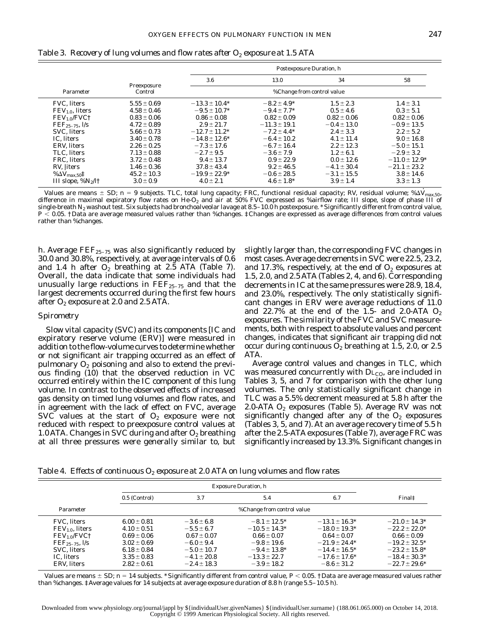|                                      |                        |                    | Postexposure Duration, h   |                 |                    |
|--------------------------------------|------------------------|--------------------|----------------------------|-----------------|--------------------|
|                                      |                        | $3.6\,$            | 13.0                       | 34              | 58                 |
| Parameter                            | Preexposure<br>Control |                    | %Change from control value |                 |                    |
| <b>FVC.</b> liters                   | $5.55 \pm 0.69$        | $-13.3 \pm 10.4*$  | $-8.2 \pm 4.9^*$           | $1.5 \pm 2.3$   | $1.4 \pm 3.1$      |
| $FEV1.0$ , liters                    | $4.58 \pm 0.46$        | $-9.5 \pm 10.7^*$  | $-9.4 \pm 7.7^*$           | $0.5 \pm 4.6$   | $0.3 \pm 5.1$      |
| FEV <sub>1.0</sub> /FVC <sup>†</sup> | $0.83 \pm 0.06$        | $0.86 \pm 0.08$    | $0.82 \pm 0.09$            | $0.82 \pm 0.06$ | $0.82 \pm 0.06$    |
| $FEF_{25-75}$ , $l/s$                | $4.72 \pm 0.89$        | $2.9 \pm 21.7$     | $-11.3 \pm 19.1$           | $-0.4 \pm 13.0$ | $-0.9 \pm 13.5$    |
| SVC, liters                          | $5.66 \pm 0.73$        | $-12.7 \pm 11.2^*$ | $-7.2 \pm 4.4*$            | $2.4 \pm 3.3$   | $2.2 \pm 5.2$      |
| IC. liters                           | $3.40 \pm 0.78$        | $-14.8 \pm 12.6^*$ | $-6.4 \pm 10.2$            | $4.1 \pm 11.4$  | $9.0 \pm 16.8$     |
| ERV. liters                          | $2.26 \pm 0.25$        | $-7.3 \pm 17.6$    | $-6.7 \pm 16.4$            | $2.2 \pm 12.3$  | $-5.0 \pm 15.1$    |
| TLC, liters                          | $7.13 \pm 0.88$        | $-2.7 \pm 9.5$     | $-3.6 \pm 7.9$             | $1.2 \pm 6.1$   | $-2.9 \pm 3.2$     |
| FRC. liters                          | $3.72 \pm 0.48$        | $9.4 \pm 13.7$     | $0.9 \pm 22.9$             | $0.0 \pm 12.6$  | $-11.0 \pm 12.9^*$ |
| RV, liters                           | $1.46 \pm 0.36$        | $37.8 \pm 43.4$    | $9.2 \pm 46.5$             | $-4.1 \pm 30.4$ | $-21.1 \pm 23.2$   |
| % $\Delta {\rm \dot{V}_{max,50}}$ ‡  | $45.2 \pm 10.3$        | $-19.9 \pm 22.9^*$ | $-0.6 \pm 28.5$            | $-3.1 \pm 15.5$ | $3.8 \pm 14.6$     |
| III slope, $\%N_2/l \dagger$         | $3.0 \pm 0.9$          | $4.0 \pm 2.1$      | $4.6 \pm 1.8^*$            | $3.9 \pm 1.4$   | $3.3 \pm 1.3$      |

Table 3. *Recovery of lung volumes and flow rates after O<sub>2</sub> exposure at 1.5 ATA* 

Values are means  $\pm$  SD;  $n = 9$  subjects. TLC, total lung capacity; FRC, functional residual capacity; RV, residual volume; % $\Delta V_{\text{max},50}$ , difference in maximal expiratory flow rates on He-O<sub>2</sub> and air at 50% FVC expressed as %airflow rate; III slope, slope of *phase III* of single-breath  $N_2$  washout test. Six subjects had bronchoalveolar lavage at 8.5–10.0 h postexposure. \* Significantly different from control value,  $P < 0.05$ . †Data are average measured values rather than %changes. ‡Changes are expressed as average differences from control values rather than %changes.

h. Average  $\text{FEF}_{25-75}$  was also significantly reduced by 30.0 and 30.8%, respectively, at average intervals of 0.6 and 1.4 h after  $O_2$  breathing at 2.5 ATA (Table 7). Overall, the data indicate that some individuals had unusually large reductions in  $\text{FEF}_{25-75}$  and that the largest decrements occurred during the first few hours after  $O_2$  exposure at 2.0 and 2.5 ATA.

## *Spirometry*

Slow vital capacity (SVC) and its components [IC and expiratory reserve volume (ERV)] were measured in addition to the flow-volume curves to determine whether or not significant air trapping occurred as an effect of pulmonary  $O_2$  poisoning and also to extend the previous finding (10) that the observed reduction in VC occurred entirely within the IC component of this lung volume. In contrast to the observed effects of increased gas density on timed lung volumes and flow rates, and in agreement with the lack of effect on FVC, average SVC values at the start of  $O<sub>2</sub>$  exposure were not reduced with respect to preexposure control values at 1.0 ATA. Changes in SVC during and after  $O_2$  breathing at all three pressures were generally similar to, but

slightly larger than, the corresponding FVC changes in most cases. Average decrements in SVC were 22.5, 23.2, and 17.3%, respectively, at the end of  $O_2$  exposures at 1.5, 2.0, and 2.5 ATA (Tables 2, 4, and 6). Corresponding decrements in IC at the same pressures were 28.9, 18.4, and 23.0%, respectively. The only statistically significant changes in ERV were average reductions of 11.0 and  $22.7\%$  at the end of the 1.5- and 2.0-ATA  $O<sub>2</sub>$ exposures. The similarity of the FVC and SVC measurements, both with respect to absolute values and percent changes, indicates that significant air trapping did not occur during continuous  $O_2$  breathing at 1.5, 2.0, or 2.5 ATA.

Average control values and changes in TLC, which was measured concurrently with  $D_{\text{L}_\text{CO}}$ , are included in Tables 3, 5, and 7 for comparison with the other lung volumes. The only statistically significant change in TLC was a 5.5% decrement measured at 5.8 h after the 2.0-ATA  $O_2$  exposures (Table 5). Average RV was not significantly changed after any of the  $O<sub>2</sub>$  exposures (Tables 3, 5, and 7). At an average recovery time of 5.5 h after the 2.5-ATA exposures (Table 7), average FRC was significantly increased by 13.3%. Significant changes in

Table 4. *Effects of continuous O2 exposure at 2.0 ATA on lung volumes and flow rates*

|                                      |                 |                 | <b>Exposure Duration, h</b> |                    |                    |
|--------------------------------------|-----------------|-----------------|-----------------------------|--------------------|--------------------|
|                                      | 0.5 (Control)   | 3.7             | 5.4                         | 6.7                | Finalt             |
| Parameter                            |                 |                 | %Change from control value  |                    |                    |
| <b>FVC.</b> liters                   | $6.00 \pm 0.81$ | $-3.6 \pm 6.8$  | $-8.1 \pm 12.5^*$           | $-13.1 \pm 16.3^*$ | $-21.0 \pm 14.3^*$ |
| $FEV1.0$ , liters                    | $4.10 \pm 0.51$ | $-5.5 \pm 6.7$  | $-10.5 \pm 14.3*$           | $-18.0 \pm 19.3^*$ | $-22.2 \pm 22.0^*$ |
| FEV <sub>1.0</sub> /FVC <sup>†</sup> | $0.69 \pm 0.06$ | $0.67 + 0.07$   | $0.66 \pm 0.07$             | $0.64 \pm 0.07$    | $0.66 \pm 0.09$    |
| $FEF_{25-75}$ , $l/s$                | $3.02 \pm 0.69$ | $-6.0 \pm 9.4$  | $-9.8 \pm 19.6$             | $-21.9 \pm 24.4*$  | $-19.2 \pm 32.5^*$ |
| SVC. liters                          | $6.18 \pm 0.84$ | $-5.0 \pm 10.7$ | $-9.4 + 13.8*$              | $-14.4 \pm 16.5^*$ | $-23.2 \pm 15.8^*$ |
| IC. liters                           | $3.35 \pm 0.83$ | $-4.1 \pm 20.8$ | $-13.3 \pm 22.7$            | $-17.6 \pm 17.6^*$ | $-18.4 \pm 30.3*$  |
| ERV. liters                          | $2.82 \pm 0.61$ | $-2.4 \pm 18.3$ | $-3.9 \pm 18.2$             | $-8.6 \pm 31.2$    | $-22.7 \pm 29.6^*$ |

Values are means  $\pm$  SD;  $n = 14$  subjects. \*Significantly different from control value,  $P < 0.05$ . †Data are average measured values rather than %changes. ‡Average values for 14 subjects at average exposure duration of 8.8 h (range 5.5–10.5 h).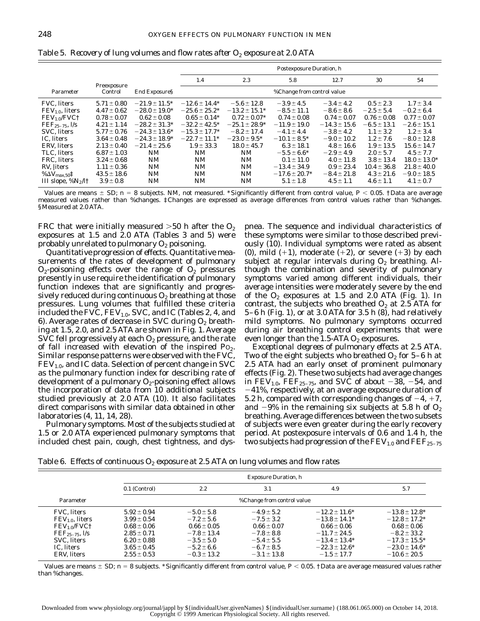|                                      |                        |                    |                    |                    | Postexposure Duration, h   |                  |                 |                   |
|--------------------------------------|------------------------|--------------------|--------------------|--------------------|----------------------------|------------------|-----------------|-------------------|
|                                      |                        |                    | 1.4                | 2.3                | 5.8                        | 12.7             | 30              | 54                |
| Parameter                            | Preexposure<br>Control | End Exposure§      |                    |                    | %Change from control value |                  |                 |                   |
| FVC, liters                          | $5.71 \pm 0.80$        | $-21.9 \pm 11.5^*$ | $-12.6 \pm 14.4*$  | $-5.6 \pm 12.8$    | $-3.9 \pm 4.5$             | $-3.4 \pm 4.2$   | $0.5 \pm 2.3$   | $1.7 \pm 3.4$     |
| $FEV1.0$ , liters                    | $4.47 \pm 0.62$        | $-28.0 \pm 19.0^*$ | $-25.6 \pm 25.2*$  | $-13.2 \pm 15.1*$  | $-8.5 \pm 11.1$            | $-8.6 \pm 8.6$   | $-2.5 \pm 5.4$  | $-0.2 \pm 6.4$    |
| FEV <sub>1.0</sub> /FVC <sup>†</sup> | $0.78 \pm 0.07$        | $0.62 \pm 0.08$    | $0.65 \pm 0.14*$   | $0.72 \pm 0.07*$   | $0.74 \pm 0.08$            | $0.74 \pm 0.07$  | $0.76 \pm 0.08$ | $0.77 \pm 0.07$   |
| $FEF_{25-75}$ , $l/s$                | $4.21 \pm 1.14$        | $-28.2 \pm 31.3*$  | $-32.2 \pm 42.5^*$ | $-25.1 \pm 28.9^*$ | $-11.9 \pm 19.0$           | $-14.3 \pm 15.6$ | $-6.5 \pm 13.1$ | $-2.6 \pm 15.1$   |
| <b>SVC.</b> liters                   | $5.77 \pm 0.76$        | $-24.3 \pm 13.6^*$ | $-15.3 \pm 17.7^*$ | $-8.2 \pm 17.4$    | $-4.1 \pm 4.4$             | $-3.8 \pm 4.2$   | $1.1 \pm 3.2$   | $1.2 \pm 3.4$     |
| IC. liters                           | $3.64 \pm 0.48$        | $-24.3 \pm 18.9*$  | $-22.7 \pm 11.1*$  | $-23.0 \pm 9.5^*$  | $-10.1 \pm 8.5^*$          | $-9.0 \pm 10.2$  | $1.2 \pm 7.6$   | $-8.0 \pm 12.8$   |
| <b>ERV.</b> liters                   | $2.13 \pm 0.40$        | $-21.4 \pm 25.6$   | $1.9 \pm 33.3$     | $18.0 \pm 45.7$    | $6.3 \pm 18.1$             | $4.8 \pm 16.6$   | $1.9 \pm 13.5$  | $15.6 \pm 14.7$   |
| TLC. liters                          | $6.87 \pm 1.03$        | NM                 | NM                 | NM                 | $-5.5 \pm 6.6*$            | $-2.9 \pm 4.9$   | $2.0 \pm 5.7$   | $4.5 \pm 7.7$     |
| FRC. liters                          | $3.24 \pm 0.68$        | NM                 | NM                 | NΜ                 | $0.1 \pm 11.0$             | $4.0 \pm 11.8$   | $3.8 \pm 13.4$  | $18.0 \pm 13.0^*$ |
| RV, liters                           | $1.11 \pm 0.36$        | <b>NM</b>          | NM                 | NM                 | $-13.4 \pm 34.9$           | $0.9 \pm 23.4$   | $10.4 \pm 36.8$ | $21.8 \pm 40.0$   |
| % $\Delta {\rm V}_{\rm max,50}$ ‡    | $43.5 \pm 18.6$        | <b>NM</b>          | NM                 | <b>NM</b>          | $-17.6 \pm 20.7*$          | $-8.4 \pm 21.8$  | $4.3 \pm 21.6$  | $-9.0 \pm 18.5$   |
| III slope, $\%N_2/l \dagger$         | $3.9 \pm 0.8$          | <b>NM</b>          | NM                 | <b>NM</b>          | $5.1 \pm 1.8$              | $4.5 \pm 1.1$    | $4.6 \pm 1.1$   | $4.1 \pm 0.7$     |

Table 5. *Recovery of lung volumes and flow rates after O<sub>2</sub> exposure at 2.0 ATA* 

Values are means  $\pm$  SD;  $n = 8$  subjects. NM, not measured. \*Significantly different from control value,  $P < 0.05$ . †Data are average measured values rather than %changes. ‡Changes are expressed as average differences from control values rather than %changes. §Measured at 2.0 ATA.

FRC that were initially measured  $>50$  h after the  $O_2$ exposures at 1.5 and 2.0 ATA (Tables 3 and 5) were probably unrelated to pulmonary  $O_2$  poisoning.

*Quantitative progression of effects.* Quantitative measurements of the rates of development of pulmonary  $O_2$ -poisoning effects over the range of  $O_2$  pressures presently in use require the identification of pulmonary function indexes that are significantly and progressively reduced during continuous  $O_2$  breathing at those pressures. Lung volumes that fulfilled these criteria included the FVC,  $FEV_{1.0}$ , SVC, and IC (Tables 2, 4, and 6). Average rates of decrease in SVC during  $O<sub>2</sub>$  breathing at 1.5, 2.0, and 2.5 ATA are shown in Fig. 1. Average SVC fell progressively at each  $O_2$  pressure, and the rate of fall increased with elevation of the inspired  $P_{\text{O}_2}$ . Similar response patterns were observed with the FVC,  $FEV<sub>1.0</sub>$ , and IC data. Selection of percent change in SVC as the pulmonary function index for describing rate of development of a pulmonary  $O_2$ -poisoning effect allows the incorporation of data from 10 additional subjects studied previously at 2.0 ATA (10). It also facilitates direct comparisons with similar data obtained in other laboratories (4, 11, 14, 28).

*Pulmonary symptoms.* Most of the subjects studied at 1.5 or 2.0 ATA experienced pulmonary symptoms that included chest pain, cough, chest tightness, and dyspnea. The sequence and individual characteristics of these symptoms were similar to those described previously (10). Individual symptoms were rated as absent (0), mild  $(+1)$ , moderate  $(+2)$ , or severe  $(+3)$  by each subject at regular intervals during  $O_2$  breathing. Although the combination and severity of pulmonary symptoms varied among different individuals, their average intensities were moderately severe by the end of the  $O_2$  exposures at 1.5 and 2.0 ATA (Fig. 1). In contrast, the subjects who breathed  $O_2$  at 2.5 ATA for 5–6 h (Fig. 1), or at 3.0 ATA for 3.5 h (8), had relatively mild symptoms. No pulmonary symptoms occurred during air breathing control experiments that were even longer than the 1.5-ATA  $O_2$  exposures.

*Exceptional degrees of pulmonary effects at 2.5 ATA.* Two of the eight subjects who breathed  $O_2$  for 5–6 h at 2.5 ATA had an early onset of prominent pulmonary effects (Fig. 2). These two subjects had average changes in  $FEV_{1.0}$ ,  $FEF_{25-75}$ , and SVC of about -38, -54, and  $-41\%$ , respectively, at an average exposure duration of 5.2 h, compared with corresponding changes of  $-4$ ,  $+7$ , and  $-9\%$  in the remaining six subjects at 5.8 h of  $O_2$ breathing. Average differences between the two subsets of subjects were even greater during the early recovery period. At postexposure intervals of 0.6 and 1.4 h, the two subjects had progression of the  $\rm{FEV_{1.0}}$  and  $\rm{FEF_{25-75}}$ 

Table 6. *Effects of continuous O<sub>2</sub> exposure at 2.5 ATA on lung volumes and flow rates* 

|                                                                                                                               |                                                                                                                                   | <b>Exposure Duration, h</b>                                                                                                   |                                                                                                                            |                                                                                                                                              |                                                                                                                                                |  |  |  |
|-------------------------------------------------------------------------------------------------------------------------------|-----------------------------------------------------------------------------------------------------------------------------------|-------------------------------------------------------------------------------------------------------------------------------|----------------------------------------------------------------------------------------------------------------------------|----------------------------------------------------------------------------------------------------------------------------------------------|------------------------------------------------------------------------------------------------------------------------------------------------|--|--|--|
|                                                                                                                               | 0.1 (Control)                                                                                                                     | 2.2                                                                                                                           | 3.1                                                                                                                        | 4.9                                                                                                                                          | 5.7                                                                                                                                            |  |  |  |
| Parameter                                                                                                                     |                                                                                                                                   |                                                                                                                               | %Change from control value                                                                                                 |                                                                                                                                              |                                                                                                                                                |  |  |  |
| <b>FVC.</b> liters<br>$FEV1.0$ , liters<br>$FEV1.0/FVC+$<br>$FEF_{25-75}$ , $l/s$<br>SVC. liters<br>IC. liters<br>ERV. liters | $5.92 \pm 0.94$<br>$3.99 \pm 0.54$<br>$0.68 \pm 0.06$<br>$2.85 \pm 0.71$<br>$6.20 \pm 0.88$<br>$3.65 \pm 0.45$<br>$2.55 \pm 0.53$ | $-5.0 \pm 5.8$<br>$-7.2 \pm 5.6$<br>$0.66 \pm 0.05$<br>$-7.8 \pm 13.4$<br>$-3.5 \pm 5.0$<br>$-5.2 \pm 6.6$<br>$-0.3 \pm 13.2$ | $-4.9 \pm 5.2$<br>$-7.5 \pm 3.2$<br>$0.66 \pm 0.07$<br>$-7.8 \pm 8.8$<br>$-5.4 + 5.5$<br>$-6.7 \pm 8.5$<br>$-3.1 \pm 13.8$ | $-12.2 \pm 11.6^*$<br>$-13.8 \pm 14.1*$<br>$0.66 \pm 0.06$<br>$-11.7 \pm 24.5$<br>$-13.4 \pm 13.4*$<br>$-22.3 \pm 12.6^*$<br>$-1.5 \pm 17.7$ | $-13.8 \pm 12.8^*$<br>$-12.8 \pm 17.2^*$<br>$0.68 \pm 0.06$<br>$-8.2 \pm 33.2$<br>$-17.3 \pm 15.5^*$<br>$-23.0 \pm 14.6^*$<br>$-10.6 \pm 20.5$ |  |  |  |

Values are means  $\pm$  SD;  $n$  = 8 subjects. \*Significantly different from control value,  $P$  < 0.05. †Data are average measured values rather than %changes.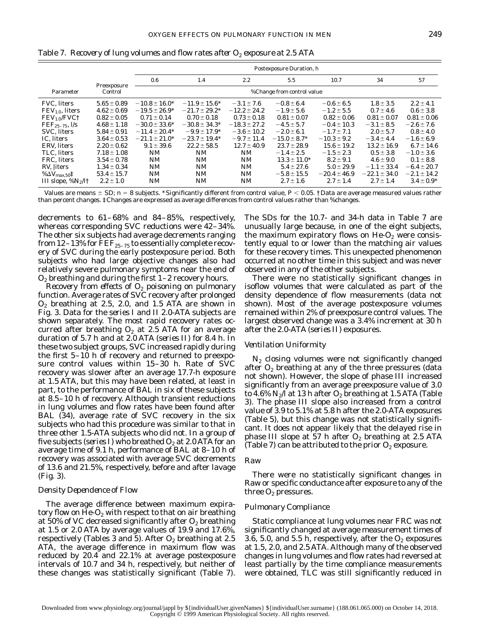|                                      |                 |                   | Postexposure Duration, h |                  |                            |                  |                  |                 |
|--------------------------------------|-----------------|-------------------|--------------------------|------------------|----------------------------|------------------|------------------|-----------------|
|                                      | Preexposure     | 0.6               | 1.4                      | 2.2              | $5.5^{\circ}$              | 10.7             | 34               | 57              |
| Parameter                            | Control         |                   |                          |                  | %Change from control value |                  |                  |                 |
| <b>FVC.</b> liters                   | $5.65 \pm 0.89$ | $-10.8 \pm 16.0*$ | $-11.9 \pm 15.6^*$       | $-3.1 \pm 7.6$   | $-0.8 \pm 6.4$             | $-0.6 \pm 6.5$   | $1.8 \pm 3.5$    | $2.2 \pm 4.1$   |
| $FEV1.0$ , liters                    | $4.62 \pm 0.69$ | $-19.5 \pm 26.9*$ | $-21.7 \pm 29.2^*$       | $-12.2 \pm 24.2$ | $-1.9 \pm 5.6$             | $-1.2 \pm 5.5$   | $0.7 \pm 4.6$    | $0.6 \pm 3.8$   |
| FEV <sub>1.0</sub> /FVC <sup>†</sup> | $0.82 \pm 0.05$ | $0.71 \pm 0.14$   | $0.70 \pm 0.18$          | $0.73 \pm 0.18$  | $0.81 \pm 0.07$            | $0.82 \pm 0.06$  | $0.81 \pm 0.07$  | $0.81 \pm 0.06$ |
| $FEF_{25-75}$ , $I/s$                | $4.68 \pm 1.18$ | $-30.0 \pm 33.6*$ | $-30.8 \pm 34.3*$        | $-18.3 \pm 27.2$ | $-4.5 \pm 5.7$             | $-0.4 \pm 10.3$  | $-3.1 \pm 8.5$   | $-2.6 \pm 7.6$  |
| SVC. liters                          | $5.84 \pm 0.91$ | $-11.4 \pm 20.4*$ | $-9.9 \pm 17.9^*$        | $-3.6 \pm 10.2$  | $-2.0 \pm 6.1$             | $-1.7 \pm 7.1$   | $2.0 \pm 5.7$    | $0.8 \pm 4.0$   |
| IC. liters                           | $3.64 \pm 0.53$ | $-21.1 \pm 21.0*$ | $-23.7 \pm 19.4*$        | $-9.7 \pm 11.4$  | $-15.0 \pm 8.7^*$          | $-10.3 \pm 9.2$  | $-3.4 \pm 4.4$   | $-1.6 \pm 6.9$  |
| ERV. liters                          | $2.20 \pm 0.62$ | $9.1 \pm 39.6$    | $22.2 \pm 58.5$          | $12.7 \pm 40.9$  | $23.7 \pm 28.9$            | $15.6 \pm 19.2$  | $13.2 \pm 16.9$  | $6.7 \pm 14.6$  |
| TLC. liters                          | $7.18 \pm 1.08$ | NM                | <b>NM</b>                | <b>NM</b>        | $-1.4 \pm 2.5$             | $-1.5 \pm 2.3$   | $0.5 \pm 3.8$    | $-1.0 \pm 3.6$  |
| FRC, liters                          | $3.54 \pm 0.78$ | <b>NM</b>         | <b>NM</b>                | NM               | $13.3 \pm 11.0^*$          | $8.2 \pm 9.1$    | $4.6 \pm 9.0$    | $0.1 \pm 8.8$   |
| RV, liters                           | $1.34 \pm 0.34$ | <b>NM</b>         | <b>NM</b>                | <b>NM</b>        | $5.4 \pm 27.6$             | $5.0 \pm 29.9$   | $-1.1 \pm 33.4$  | $-6.4 \pm 20.7$ |
| % $\Delta {\rm V}_{\rm max,50}$ ‡    | $53.4 \pm 15.7$ | <b>NM</b>         | <b>NM</b>                | NM               | $-5.8 \pm 15.5$            | $-20.4 \pm 46.9$ | $-22.1 \pm 34.0$ | $-2.1 \pm 14.2$ |
| III slope, $\%N_2/l \dagger$         | $2.2 \pm 1.0$   | <b>NM</b>         | NM                       | <b>NM</b>        | $2.7 \pm 1.6$              | $2.7 \pm 1.4$    | $2.7 \pm 1.4$    | $3.4 \pm 0.9*$  |

Table 7. *Recovery of lung volumes and flow rates after O2 exposure at 2.5 ATA*

Values are means  $\pm$  SD;  $n = 8$  subjects. \*Significantly different from control value,  $P < 0.05$ . †Data are average measured values rather than percent changes. ‡Changes are expressed as average differences from control values rather than %changes.

decrements to 61–68% and 84–85%, respectively, whereas corresponding SVC reductions were 42–34%. The other six subjects had average decrements ranging from 12–13% for  $\rm{FEF}_{25-75}$  to essentially complete recovery of SVC during the early postexposure period. Both subjects who had large objective changes also had relatively severe pulmonary symptoms near the end of  $O<sub>2</sub>$  breathing and during the first 1–2 recovery hours.

*Recovery from effects of O2 poisoning on pulmonary function.* Average rates of SVC recovery after prolonged  $O_2$  breathing at 2.5, 2.0, and 1.5 ATA are shown in Fig. 3. Data for the *series I* and *II* 2.0-ATA subjects are shown separately. The most rapid recovery rates occurred after breathing  $O_2$  at 2.5 ATA for an average duration of 5.7 h and at 2.0 ATA (*series II*) for 8.4 h. In these two subject groups, SVC increased rapidly during the first 5–10 h of recovery and returned to preexposure control values within 15–30 h. Rate of SVC recovery was slower after an average 17.7-h exposure at 1.5 ATA, but this may have been related, at least in part, to the performance of BAL in six of these subjects at 8.5–10 h of recovery. Although transient reductions in lung volumes and flow rates have been found after BAL (34), average rate of SVC recovery in the six subjects who had this procedure was similar to that in three other 1.5-ATA subjects who did not. In a group of five subjects (*series I*) who breathed O<sub>2</sub> at 2.0 ATA for an average time of 9.1 h, performance of BAL at 8–10 h of recovery was associated with average SVC decrements of 13.6 and 21.5%, respectively, before and after lavage (Fig. 3).

## *Density Dependence of Flow*

The average difference between maximum expiratory flow on He- $O_2$  with respect to that on air breathing at 50% of VC decreased significantly after  $O_2$  breathing at 1.5 or 2.0 ATA by average values of 19.9 and 17.6%, respectively (Tables 3 and 5). After  $O<sub>2</sub>$  breathing at 2.5 ATA, the average difference in maximum flow was reduced by 20.4 and 22.1% at average postexposure intervals of 10.7 and 34 h, respectively, but neither of these changes was statistically significant (Table 7).

The SDs for the 10.7- and 34-h data in Table 7 are unusually large because, in one of the eight subjects, the maximum expiratory flows on  $He-O<sub>2</sub>$  were consistently equal to or lower than the matching air values for these recovery times. This unexpected phenomenon occurred at no other time in this subject and was never observed in any of the other subjects.

There were no statistically significant changes in isoflow volumes that were calculated as part of the density dependence of flow measurements (data not shown). Most of the average postexposure volumes remained within 2% of preexposure control values. The largest observed change was a 3.4% increment at 30 h after the 2.0-ATA (*series II*) exposures.

## *Ventilation Uniformity*

 $N_2$  closing volumes were not significantly changed after  $O<sub>2</sub>$  breathing at any of the three pressures (data not shown). However, the slope of *phase III* increased significantly from an average preexposure value of 3.0 to 4.6%  $N_2/l$  at 13 h after  $O_2$  breathing at 1.5 ATA (Table 3). The *phase III* slope also increased from a control value of 3.9 to 5.1% at 5.8 h after the 2.0-ATA exposures (Table 5), but this change was not statistically significant. It does not appear likely that the delayed rise in *phase III* slope at 57 h after  $O_2$  breathing at 2.5 ATA (Table 7) can be attributed to the prior  $O_2$  exposure.

# *Raw*

There were no statistically significant changes in Raw or specific conductance after exposure to any of the three  $O_2$  pressures.

### *Pulmonary Compliance*

Static compliance at lung volumes near FRC was not significantly changed at average measurement times of 3.6, 5.0, and 5.5 h, respectively, after the  $O_2$  exposures at 1.5, 2.0, and 2.5 ATA. Although many of the observed changes in lung volumes and flow rates had reversed at least partially by the time compliance measurements were obtained, TLC was still significantly reduced in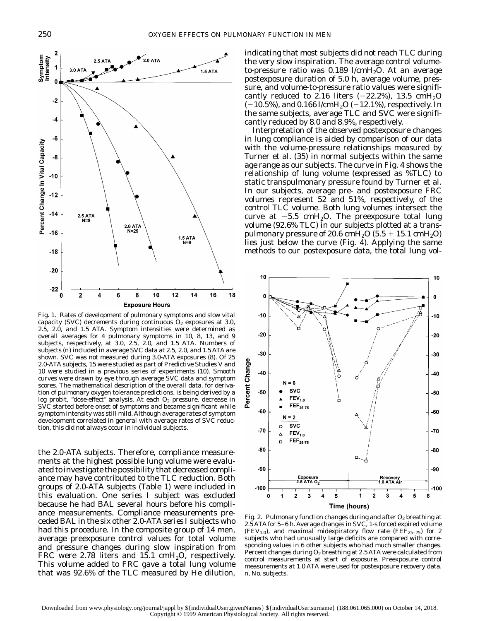

Fig. 1. Rates of development of pulmonary symptoms and slow vital capacity (SVC) decrements during continuous  $O_2$  exposures at 3.0, 2.5, 2.0, and 1.5 ATA. Symptom intensities were determined as overall averages for 4 pulmonary symptoms in 10, 8, 13, and 9 subjects, respectively, at 3.0, 2.5, 2.0, and 1.5 ATA. Numbers of subjects (*n*) included in average SVC data at 2.5, 2.0, and 1.5 ATA are shown. SVC was not measured during 3.0-ATA exposures (8). Of 25 2.0-ATA subjects, 15 were studied as part of Predictive Studies V and 10 were studied in a previous series of experiments (10). Smooth curves were drawn by eye through average SVC data and symptom scores. The mathematical description of the overall data, for derivation of pulmonary oxygen tolerance predictions, is being derived by a log probit, "dose-effect" analysis. At each  $O<sub>2</sub>$  pressure, decrease in SVC started before onset of symptoms and became significant while symptom intensity was still mild. Although average rates of symptom development correlated in general with average rates of SVC reduction, this did not always occur in individual subjects.

the 2.0-ATA subjects. Therefore, compliance measurements at the highest possible lung volume were evaluated to investigate the possibility that decreased compliance may have contributed to the TLC reduction. Both groups of 2.0-ATA subjects (Table 1) were included in this evaluation. One *series I* subject was excluded because he had BAL several hours before his compliance measurements. Compliance measurements preceded BAL in the six other 2.0-ATA *series I* subjects who had this procedure. In the composite group of 14 men, average preexposure control values for total volume and pressure changes during slow inspiration from FRC were 2.78 liters and 15.1 cm $H_2O$ , respectively. This volume added to FRC gave a total lung volume that was 92.6% of the TLC measured by He dilution,

indicating that most subjects did not reach TLC during the very slow inspiration. The average control volumeto-pressure ratio was  $0.189$  l/cmH<sub>2</sub>O. At an average postexposure duration of 5.0 h, average volume, pressure, and volume-to-pressure ratio values were significantly reduced to 2.16 liters  $(-22.2\%)$ , 13.5 cmH<sub>2</sub>O  $(-10.5\%)$ , and 0.166 l/cmH<sub>2</sub>O (-12.1%), respectively. In the same subjects, average TLC and SVC were significantly reduced by 8.0 and 8.9%, respectively.

Interpretation of the observed postexposure changes in lung compliance is aided by comparison of our data with the volume-pressure relationships measured by Turner et al. (35) in normal subjects within the same age range as our subjects. The curve in Fig. 4 shows the relationship of lung volume (expressed as %TLC) to static transpulmonary pressure found by Turner et al. In our subjects, average pre- and postexposure FRC volumes represent 52 and 51%, respectively, of the control TLC volume. Both lung volumes intersect the curve at  $\sim$ 5.5 cmH<sub>2</sub>O. The preexposure total lung volume (92.6% TLC) in our subjects plotted at a transpulmonary pressure of 20.6 cmH<sub>2</sub>O (5.5 + 15.1 cmH<sub>2</sub>O) lies just below the curve (Fig. 4). Applying the same methods to our postexposure data, the total lung vol-



Fig. 2. Pulmonary function changes during and after  $O_2$  breathing at 2.5 ATA for 5–6 h. Average changes in SVC, 1-s forced expired volume (FEV<sub>1.0</sub>), and maximal midexpiratory flow rate (FEF<sub>25-75</sub>) for 2 subjects who had unusually large deficits are compared with corresponding values in 6 other subjects who had much smaller changes. Percent changes during  $O_2$  breathing at 2.5 ATA were calculated from control measurements at start of exposure. Preexposure control measurements at 1.0 ATA were used for postexposure recovery data. *n*, No. subjects.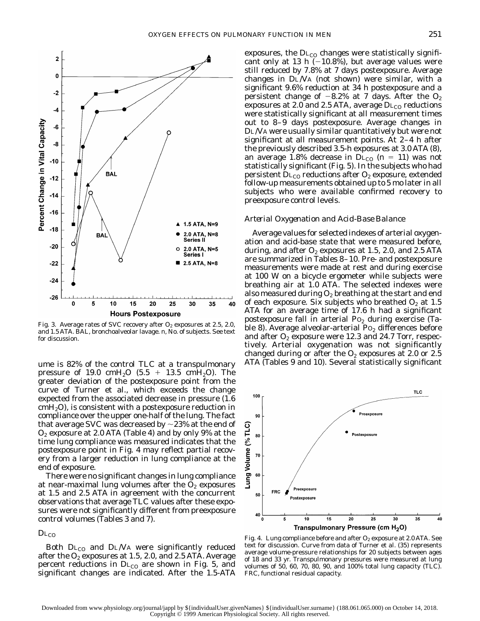

Fig. 3. Average rates of SVC recovery after  $O_2$  exposures at 2.5, 2.0, and 1.5 ATA. BAL, bronchoalveolar lavage. *n*, No. of subjects. See text for discussion.

ume is 82% of the control TLC at a transpulmonary pressure of 19.0 cmH<sub>2</sub>O (5.5 + 13.5 cmH<sub>2</sub>O). The greater deviation of the postexposure point from the curve of Turner et al., which exceeds the change expected from the associated decrease in pressure (1.6  $\text{cmH}_{2}$ O), is consistent with a postexposure reduction in compliance over the upper one-half of the lung. The fact that average SVC was decreased by  ${\sim}23\%$  at the end of  $O_2$  exposure at 2.0 ATA (Table 4) and by only 9% at the time lung compliance was measured indicates that the postexposure point in Fig. 4 may reflect partial recovery from a larger reduction in lung compliance at the end of exposure.

There were no significant changes in lung compliance at near-maximal lung volumes after the  $O<sub>2</sub>$  exposures at 1.5 and 2.5 ATA in agreement with the concurrent observations that average TLC values after these exposures were not significantly different from preexposure control volumes (Tables 3 and 7).

 $D_{LCO}$ 

Both  $D_{LCO}$  and  $D_{L}/V$ A were significantly reduced after the  $O_2$  exposures at 1.5, 2.0, and 2.5 ATA. Average percent reductions in  $D_{\text{L}_{\text{CO}}}$  are shown in Fig. 5, and significant changes are indicated. After the 1.5-ATA

exposures, the  $D_{\text{L}_\text{CO}}$  changes were statistically significant only at 13 h  $(-10.8%)$ , but average values were still reduced by 7.8% at 7 days postexposure. Average changes in DL/VA (not shown) were similar, with a significant 9.6% reduction at 34 h postexposure and a persistent change of  $-8.2\%$  at 7 days. After the  $O_2$ exposures at 2.0 and 2.5 ATA, average  $DL_{CO}$  reductions were statistically significant at all measurement times out to 8–9 days postexposure. Average changes in DL/VA were usually similar quantitatively but were not significant at all measurement points. At 2–4 h after the previously described 3.5-h exposures at 3.0 ATA (8), an average 1.8% decrease in  $D_{\text{L}_{\text{CO}}}$  ( $n = 11$ ) was not statistically significant (Fig. 5). In the subjects who had persistent  $D_{\text{L}_\text{CO}}$  reductions after  $O_2$  exposure, extended follow-up measurements obtained up to 5 mo later in all subjects who were available confirmed recovery to preexposure control levels.

# *Arterial Oxygenation and Acid-Base Balance*

Average values for selected indexes of arterial oxygenation and acid-base state that were measured before, during, and after  $O_2$  exposures at 1.5, 2.0, and 2.5 ATA are summarized in Tables 8–10. Pre- and postexposure measurements were made at rest and during exercise at 100 W on a bicycle ergometer while subjects were breathing air at 1.0 ATA. The selected indexes were also measured during  $O_2$  breathing at the start and end of each exposure. Six subjects who breathed  $O_2$  at 1.5 ATA for an average time of 17.6 h had a significant postexposure fall in arterial  $Po_2$  during exercise (Table 8). Average alveolar-arterial  $Po_2$  differences before and after  $O_2$  exposure were 12.3 and 24.7 Torr, respectively. Arterial oxygenation was not significantly changed during or after the  $O_2$  exposures at 2.0 or 2.5 ATA (Tables 9 and 10). Several statistically significant



Fig. 4. Lung compliance before and after  $O_2$  exposure at 2.0 ATA. See text for discussion. Curve from data of Turner et al. (35) represents average volume-pressure relationships for 20 subjects between ages of 18 and 33 yr. Transpulmonary pressures were measured at lung volumes of 50, 60, 70, 80, 90, and 100% total lung capacity (TLC). FRC, functional residual capacity.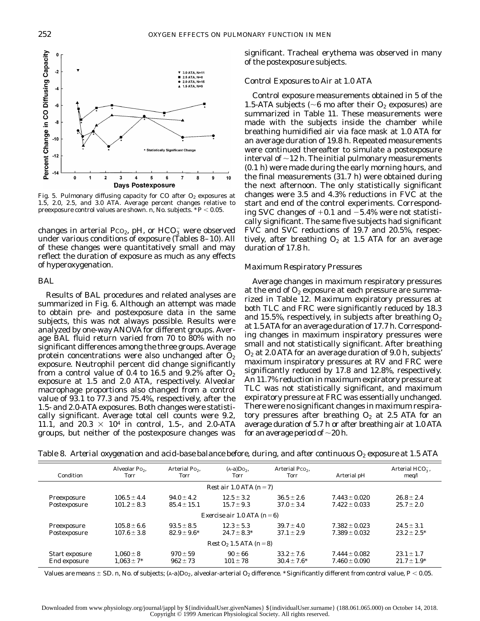

Fig. 5. Pulmonary diffusing capacity for CO after  $O_2$  exposures at 1.5, 2.0, 2.5, and 3.0 ATA. Average percent changes relative to preexposure control values are shown. *n*, No. subjects. \*  $P$  < 0.05.

changes in arterial Pco<sub>2</sub>, pH, or  $HCO_3^-$  were observed under various conditions of exposure (Tables 8–10). All of these changes were quantitatively small and may reflect the duration of exposure as much as any effects of hyperoxygenation.

## *BAL*

Results of BAL procedures and related analyses are summarized in Fig. 6. Although an attempt was made to obtain pre- and postexposure data in the same subjects, this was not always possible. Results were analyzed by one-way ANOVA for different groups. Average BAL fluid return varied from 70 to 80% with no significant differences among the three groups. Average protein concentrations were also unchanged after  $O<sub>2</sub>$ exposure. Neutrophil percent did change significantly from a control value of 0.4 to 16.5 and 9.2% after  $O_2$ exposure at 1.5 and 2.0 ATA, respectively. Alveolar macrophage proportions also changed from a control value of 93.1 to 77.3 and 75.4%, respectively, after the 1.5- and 2.0-ATA exposures. Both changes were statistically significant. Average total cell counts were 9.2, 11.1, and 20.3  $\times$  10<sup>4</sup> in control, 1.5-, and 2.0-ATA groups, but neither of the postexposure changes was

significant. Tracheal erythema was observed in many of the postexposure subjects.

# *Control Exposures to Air at 1.0 ATA*

Control exposure measurements obtained in 5 of the 1.5-ATA subjects ( $\sim$ 6 mo after their O<sub>2</sub> exposures) are summarized in Table 11. These measurements were made with the subjects inside the chamber while breathing humidified air via face mask at 1.0 ATA for an average duration of 19.8 h. Repeated measurements were continued thereafter to simulate a postexposure interval of  $\sim$ 12 h. The initial pulmonary measurements (0.1 h) were made during the early morning hours, and the final measurements (31.7 h) were obtained during the next afternoon. The only statistically significant changes were 3.5 and 4.3% reductions in FVC at the start and end of the control experiments. Corresponding SVC changes of  $+0.1$  and  $-5.4\%$  were not statistically significant. The same five subjects had significant FVC and SVC reductions of 19.7 and 20.5%, respectively, after breathing  $O_2$  at 1.5 ATA for an average duration of 17.8 h.

# *Maximum Respiratory Pressures*

Average changes in maximum respiratory pressures at the end of  $O_2$  exposure at each pressure are summarized in Table 12. Maximum expiratory pressures at both TLC and FRC were significantly reduced by 18.3 and 15.5%, respectively, in subjects after breathing  $O_2$ at 1.5ATAfor an average duration of 17.7 h. Corresponding changes in maximum inspiratory pressures were small and not statistically significant. After breathing  $O<sub>2</sub>$  at 2.0 ATA for an average duration of 9.0 h, subjects' maximum inspiratory pressures at RV and FRC were significantly reduced by 17.8 and 12.8%, respectively. An 11.7% reduction in maximum expiratory pressure at TLC was not statistically significant, and maximum expiratory pressure at FRC was essentially unchanged. There were no significant changes in maximum respiratory pressures after breathing  $O_2$  at 2.5 ATA for an average duration of 5.7 h or after breathing air at 1.0 ATA for an average period of  $\sim$ 20 h.

Table 8. *Arterial oxygenation and acid-base balance before, during, and after continuous O<sub>2</sub> <i>exposure at 1.5 ATA* 

| Condition                      | Alveolar Po <sub>2</sub> ,<br>Torr | Arterial Po <sub>2</sub> ,<br>Torr | $(A-a)Do2$ ,<br>Torr               | Arterial Pco <sub>2</sub> ,<br>Torr | Arterial pH                            | Arterial $HCO3$ ,<br>meq/1         |  |  |
|--------------------------------|------------------------------------|------------------------------------|------------------------------------|-------------------------------------|----------------------------------------|------------------------------------|--|--|
|                                |                                    |                                    | Rest air 1.0 ATA $(n=7)$           |                                     |                                        |                                    |  |  |
| Preexposure<br>Postexposure    | $106.5 \pm 4.4$<br>$101.2 \pm 8.3$ | $94.0 \pm 4.2$<br>$85.4 \pm 15.1$  | $12.5 \pm 3.2$<br>$15.7 \pm 9.3$   | $36.5 \pm 2.6$<br>$37.0 \pm 3.4$    | $7.443 \pm 0.020$<br>$7.422 \pm 0.033$ | $26.8 \pm 2.4$<br>$25.7 \pm 2.0$   |  |  |
|                                |                                    |                                    | Exercise air 1.0 ATA $(n=6)$       |                                     |                                        |                                    |  |  |
| Preexposure<br>Postexposure    | $105.8 \pm 6.6$<br>$107.6 \pm 3.8$ | $93.5 \pm 8.5$<br>$82.9 \pm 9.6^*$ | $12.3 \pm 5.3$<br>$24.7 \pm 8.3^*$ | $39.7 \pm 4.0$<br>$37.1 \pm 2.9$    | $7.382 \pm 0.023$<br>$7.389 \pm 0.032$ | $24.5 \pm 3.1$<br>$23.2 \pm 2.5^*$ |  |  |
| $Rest O_2 1.5 ATA (n=8)$       |                                    |                                    |                                    |                                     |                                        |                                    |  |  |
| Start exposure<br>End exposure | $1.060 \pm 8$<br>$1.063 \pm 7*$    | $970 \pm 59$<br>$962 \pm 73$       | $90 \pm 66$<br>$101 \pm 78$        | $33.2 \pm 7.6$<br>$30.4 \pm 7.6^*$  | $7.444 \pm 0.082$<br>$7.460 \pm 0.090$ | $23.1 \pm 1.7$<br>$21.7 \pm 1.9^*$ |  |  |

Values are means  $\pm$  SD. *n*, No. of subjects; (A-a)D<sub>2</sub>, alveolar-arterial O<sub>2</sub> difference. \*Significantly different from control value,  $P$  < 0.05.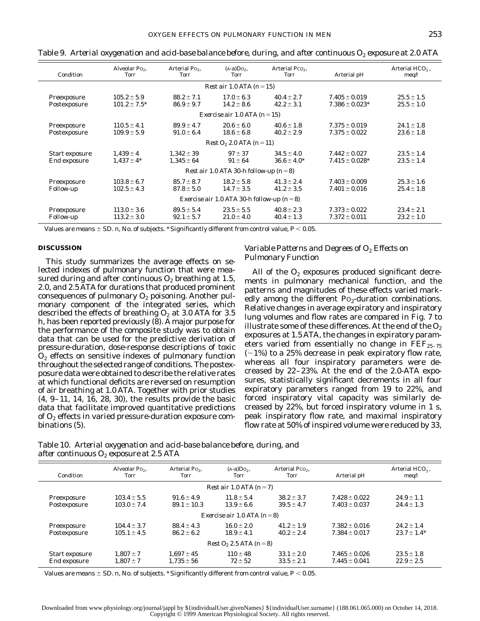| Condition                                       | Alveolar Po <sub>2</sub> ,<br><b>Torr</b> | Arterial Po <sub>2</sub> ,<br><b>Torr</b> | $(A-a)Do2$ ,<br><b>Torr</b>             | Arterial Pco <sub>2</sub> ,<br><b>Torr</b> | Arterial pH                              | Arterial $HCO3$ ,<br>meq/1       |  |  |
|-------------------------------------------------|-------------------------------------------|-------------------------------------------|-----------------------------------------|--------------------------------------------|------------------------------------------|----------------------------------|--|--|
|                                                 |                                           |                                           | Rest air 1.0 ATA $(n=15)$               |                                            |                                          |                                  |  |  |
| Preexposure<br>Postexposure                     | $105.2 \pm 5.9$<br>$101.2 \pm 7.5^*$      | $88.2 \pm 7.1$<br>$86.9 \pm 9.7$          | $17.0 \pm 6.3$<br>$14.2 \pm 8.6$        | $40.4 \pm 2.7$<br>$42.2 \pm 3.1$           | $7.405 \pm 0.019$<br>$7.386 \pm 0.023*$  | $25.5 \pm 1.5$<br>$25.5 \pm 1.0$ |  |  |
|                                                 |                                           |                                           | Exercise air 1.0 ATA ( $n = 15$ )       |                                            |                                          |                                  |  |  |
| Preexposure<br>Postexposure                     | $110.5 \pm 4.1$<br>$109.9 \pm 5.9$        | $89.9 \pm 4.7$<br>$91.0 \pm 6.4$          | $20.6 \pm 6.0$<br>$18.6 \pm 6.8$        | $40.6 \pm 1.8$<br>$40.2 \pm 2.9$           | $7.375 \pm 0.019$<br>$7.375 \pm 0.022$   | $24.1 \pm 1.8$<br>$23.6 \pm 1.8$ |  |  |
|                                                 |                                           |                                           | $Rest O_2 2.0 ATA (n=11)$               |                                            |                                          |                                  |  |  |
| Start exposure<br>End exposure                  | $1,439 \pm 4$<br>$1.437 \pm 4^*$          | $1,342 \pm 39$<br>$1.345 \pm 64$          | $97 \pm 37$<br>$91 \pm 64$              | $34.5 \pm 4.0$<br>$36.6 \pm 4.0^*$         | $7.442 \pm 0.027$<br>$7.415 \pm 0.028^*$ | $23.5 \pm 1.4$<br>$23.5 \pm 1.4$ |  |  |
|                                                 |                                           |                                           | Rest air 1.0 ATA 30-h follow-up $(n=8)$ |                                            |                                          |                                  |  |  |
| Preexposure<br>Follow-up                        | $103.8 \pm 6.7$<br>$102.5 \pm 4.3$        | $85.7 \pm 8.7$<br>$87.8 \pm 5.0$          | $18.2 \pm 5.8$<br>$14.7 \pm 3.5$        | $41.3 \pm 2.4$<br>$41.2 \pm 3.5$           | $7.403 \pm 0.009$<br>$7.401 \pm 0.016$   | $25.3 \pm 1.6$<br>$25.4 \pm 1.8$ |  |  |
| Exercise air 1.0 ATA 30-h follow-up ( $n = 8$ ) |                                           |                                           |                                         |                                            |                                          |                                  |  |  |
| Preexposure<br><b>Follow-up</b>                 | $113.0 \pm 3.6$<br>$113.2 \pm 3.0$        | $89.5 \pm 5.4$<br>$92.1 \pm 5.7$          | $23.5 \pm 5.5$<br>$21.0 \pm 4.0$        | $40.8 \pm 2.3$<br>$40.4 \pm 1.3$           | $7.373 \pm 0.022$<br>$7.372 \pm 0.011$   | $23.4 \pm 2.1$<br>$23.2 \pm 1.0$ |  |  |

Table 9. *Arterial oxygenation and acid-base balance before, during, and after continuous O<sub>2</sub> <i>exposure at 2.0 ATA* 

Values are means  $\pm$  SD. *n*, No. of subjects. \* Significantly different from control value, *P* < 0.05.

### **DISCUSSION**

This study summarizes the average effects on selected indexes of pulmonary function that were measured during and after continuous  $O_2$  breathing at 1.5, 2.0, and 2.5 ATA for durations that produced prominent consequences of pulmonary  $O_2$  poisoning. Another pulmonary component of the integrated series, which described the effects of breathing  $O_2$  at 3.0 ATA for 3.5 h, has been reported previously (8). A major purpose for the performance of the composite study was to obtain data that can be used for the predictive derivation of pressure-duration, dose-response descriptions of toxic  $O<sub>2</sub>$  effects on sensitive indexes of pulmonary function throughout the selected range of conditions. The postexposure data were obtained to describe the relative rates at which functional deficits are reversed on resumption of air breathing at 1.0 ATA. Together with prior studies (4, 9–11, 14, 16, 28, 30), the results provide the basic data that facilitate improved quantitative predictions of  $O_2$  effects in varied pressure-duration exposure combinations (5).

# *Variable Patterns and Degrees of O2 Effects on Pulmonary Function*

All of the  $O_2$  exposures produced significant decrements in pulmonary mechanical function, and the patterns and magnitudes of these effects varied markedly among the different  $Po_2$ -duration combinations. Relative changes in average expiratory and inspiratory lung volumes and flow rates are compared in Fig. 7 to illustrate some of these differences. At the end of the  $O_2$ exposures at 1.5 ATA, the changes in expiratory parameters varied from essentially no change in  $\text{FEF}_{25-75}$  $(-1%)$  to a 25% decrease in peak expiratory flow rate, whereas all four inspiratory parameters were decreased by 22–23%. At the end of the 2.0-ATA exposures, statistically significant decrements in all four expiratory parameters ranged from 19 to 22%, and forced inspiratory vital capacity was similarly decreased by 22%, but forced inspiratory volume in 1 s, peak inspiratory flow rate, and maximal inspiratory flow rate at 50% of inspired volume were reduced by 33,

Table 10. *Arterial oxygenation and acid-base balance before, during, and after continuous O2 exposure at 2.5 ATA*

| Condition                      | Alveolar Po <sub>2</sub> ,<br>Torr | Arterial Po <sub>2</sub> ,<br>Torr | $(A-a)Do2$ ,<br><b>Torr</b>      | Arterial Pco <sub>2</sub> ,<br><b>Torr</b> | Arterial pH                            | Arterial $HCO3$ ,<br>meq/         |
|--------------------------------|------------------------------------|------------------------------------|----------------------------------|--------------------------------------------|----------------------------------------|-----------------------------------|
|                                |                                    |                                    | Rest air $1.0$ ATA ( $n = 7$ )   |                                            |                                        |                                   |
| Preexposure<br>Postexposure    | $103.4 \pm 5.5$<br>$103.0 \pm 7.4$ | $91.6 \pm 4.9$<br>$89.1 \pm 10.3$  | $11.8 \pm 5.4$<br>$13.9 \pm 6.6$ | $38.2 \pm 3.7$<br>$39.5 \pm 4.7$           | $7.428 \pm 0.022$<br>$7.403 \pm 0.037$ | $24.9 \pm 1.1$<br>$24.4 \pm 1.3$  |
|                                |                                    |                                    | Exercise air 1.0 ATA $(n=8)$     |                                            |                                        |                                   |
| Preexposure<br>Postexposure    | $104.4 \pm 3.7$<br>$105.1 \pm 4.5$ | $88.4 \pm 4.3$<br>$86.2 \pm 6.2$   | $16.0 \pm 2.0$<br>$18.9 \pm 4.1$ | $41.2 \pm 1.9$<br>$40.2 \pm 2.4$           | $7.382 \pm 0.016$<br>$7.384 \pm 0.017$ | $24.2 \pm 1.4$<br>$23.7 \pm 1.4*$ |
|                                |                                    |                                    | $Rest O_2 2.5 ATA (n=8)$         |                                            |                                        |                                   |
| Start exposure<br>End exposure | $1.807 \pm 7$<br>$1.807 \pm 7$     | $1.697 \pm 45$<br>$1.735 \pm 56$   | $110 + 48$<br>$72 \pm 52$        | $33.1 \pm 2.0$<br>$33.5 \pm 2.1$           | $7.465 \pm 0.026$<br>$7.445 \pm 0.041$ | $23.5 \pm 1.8$<br>$22.9 \pm 2.5$  |

Values are means  $\pm$  SD. *n*, No. of subjects. \* Significantly different from control value, *P* < 0.05.

Copyright © 1999 American Physiological Society. All rights reserved.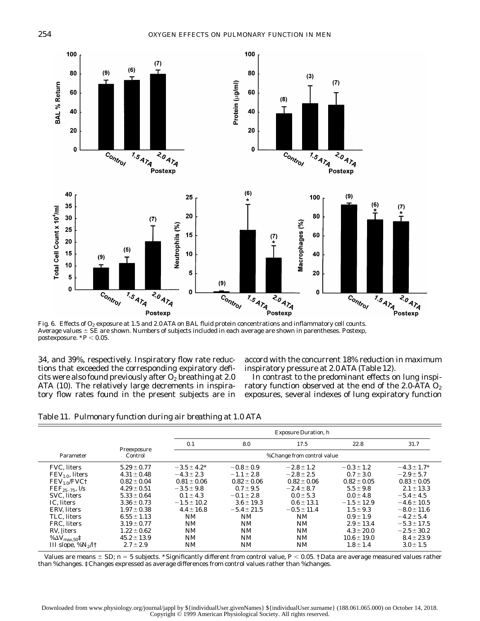

Average values  $\pm$  SE are shown. Numbers of subjects included in each average are shown in parentheses. Postexp, postexposure.  $*P < 0.05$ .

34, and 39%, respectively. Inspiratory flow rate reductions that exceeded the corresponding expiratory deficits were also found previously after  $O_2$  breathing at 2.0 ATA (10). The relatively large decrements in inspiratory flow rates found in the present subjects are in

accord with the concurrent 18% reduction in maximum inspiratory pressure at 2.0 ATA (Table 12).

In contrast to the predominant effects on lung inspiratory function observed at the end of the 2.0-ATA  $O_2$ exposures, several indexes of lung expiratory function

|  |  |  |  |  | Table 11. Pulmonary function during air breathing at 1.0 ATA |  |
|--|--|--|--|--|--------------------------------------------------------------|--|
|--|--|--|--|--|--------------------------------------------------------------|--|

|                                     |                        |                  | <b>Exposure Duration, h</b> |                            |                 |                  |  |  |
|-------------------------------------|------------------------|------------------|-----------------------------|----------------------------|-----------------|------------------|--|--|
|                                     |                        | 0.1              | 8.0                         | 17.5                       | 22.8            | 31.7             |  |  |
| Parameter                           | Preexposure<br>Control |                  |                             | %Change from control value |                 |                  |  |  |
| <b>FVC.</b> liters                  | $5.29 \pm 0.77$        | $-3.5 \pm 4.2^*$ | $-0.8 \pm 0.9$              | $-2.8 \pm 1.2$             | $-0.3 \pm 1.2$  | $-4.3 \pm 1.7^*$ |  |  |
| $FEV1.0$ , liters                   | $4.31 \pm 0.48$        | $-4.3 \pm 2.3$   | $-1.1 \pm 2.8$              | $-2.8 \pm 2.5$             | $0.7 \pm 3.0$   | $-2.9 \pm 5.7$   |  |  |
| $FEV1.0/FVC$ †                      | $0.82 \pm 0.04$        | $0.81 \pm 0.06$  | $0.82 \pm 0.06$             | $0.82 \pm 0.06$            | $0.82 \pm 0.05$ | $0.83 \pm 0.05$  |  |  |
| $\text{FEF}_{25-75}$ , $\text{I/s}$ | $4.29 \pm 0.51$        | $-3.5 \pm 9.8$   | $0.7 \pm 9.5$               | $-2.4 \pm 8.7$             | $5.5 \pm 9.8$   | $2.1 \pm 13.3$   |  |  |
| SVC. liters                         | $5.33 \pm 0.64$        | $0.1 \pm 4.3$    | $-0.1 \pm 2.8$              | $0.0 \pm 5.3$              | $0.0 \pm 4.8$   | $-5.4 \pm 4.5$   |  |  |
| IC. liters                          | $3.36 \pm 0.73$        | $-1.5 \pm 10.2$  | $3.6 \pm 19.3$              | $0.6 \pm 13.1$             | $-1.5 \pm 12.9$ | $-4.6 \pm 10.5$  |  |  |
| <b>ERV.</b> liters                  | $1.97 \pm 0.38$        | $4.4 \pm 16.8$   | $-5.4 \pm 21.5$             | $-0.5 \pm 11.4$            | $1.5 \pm 9.3$   | $-8.0 \pm 11.6$  |  |  |
| TLC. liters                         | $6.55 \pm 1.13$        | NM               | <b>NM</b>                   | <b>NM</b>                  | $0.9 \pm 1.9$   | $-4.2 \pm 5.4$   |  |  |
| FRC. liters                         | $3.19 \pm 0.77$        | NM               | NM                          | <b>NM</b>                  | $2.9 \pm 13.4$  | $-5.3 \pm 17.5$  |  |  |
| RV, liters                          | $1.22 \pm 0.62$        | NM               | <b>NM</b>                   | <b>NM</b>                  | $4.3 \pm 20.0$  | $-2.5 \pm 30.2$  |  |  |
| % $\Delta V_{\rm max,50}$ ‡         | $45.2 \pm 13.9$        | <b>NM</b>        | <b>NM</b>                   | <b>NM</b>                  | $10.6 \pm 19.0$ | $8.4 \pm 23.9$   |  |  |
| III slope, $\%N_2/l \dagger$        | $2.7 \pm 2.9$          | NΜ               | <b>NM</b>                   | <b>NM</b>                  | $1.8 \pm 1.4$   | $3.0 \pm 1.5$    |  |  |

Values are means  $\pm$  SD;  $n = 5$  subjects. \*Significantly different from control value,  $P < 0.05$ . †Data are average measured values rather than %changes. ‡Changes expressed as average differences from control values rather than %changes.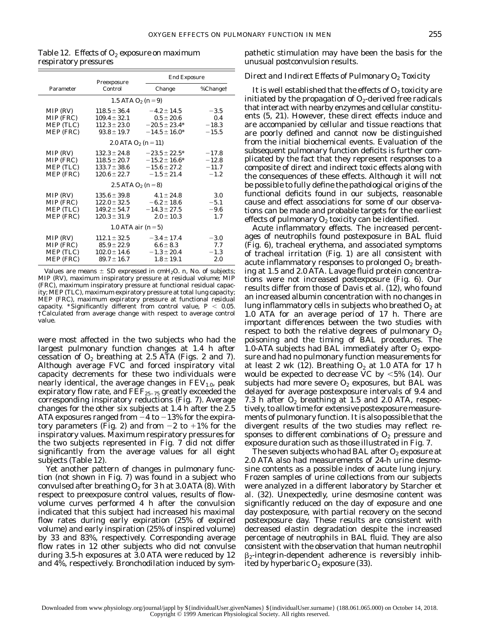| ×  | ×  |
|----|----|
| ۰. | ۰. |

|                                                 | Preexposure                                                                  |                                                                                 | <b>End Exposure</b>                     |  |
|-------------------------------------------------|------------------------------------------------------------------------------|---------------------------------------------------------------------------------|-----------------------------------------|--|
| Parameter                                       | Control                                                                      | Change                                                                          | %Change†                                |  |
| 1.5 ATA $O_2$ (n = 9)                           |                                                                              |                                                                                 |                                         |  |
| MIP (RV)<br>MIP (FRC)<br>MEP (TLC)<br>MEP (FRC) | $118.5 \pm 36.4$<br>$109.4 \pm 32.1$<br>$112.3 \pm 23.0$<br>$93.8 \pm 19.7$  | $-4.2 \pm 14.5$<br>$0.5 \pm 20.6$<br>$-20.5 \pm 23.4*$<br>$-14.5 \pm 16.0*$     | $-3.5$<br>0.4<br>$-18.3$<br>$-15.5$     |  |
| 2.0 ATA $O_2$ (n = 11)                          |                                                                              |                                                                                 |                                         |  |
| MIP (RV)<br>MIP (FRC)<br>MEP (TLC)<br>MEP (FRC) | $132.3 \pm 24.8$<br>$118.5 \pm 20.7$<br>$133.7 \pm 38.6$<br>$120.6 \pm 22.7$ | $-23.5 \pm 22.5^*$<br>$-15.2 \pm 16.6^*$<br>$-15.6 \pm 27.2$<br>$-1.5 \pm 21.4$ | $-17.8$<br>$-12.8$<br>$-11.7$<br>$-1.2$ |  |
| 2.5 ATA $O_2$ (n = 8)                           |                                                                              |                                                                                 |                                         |  |
| MIP (RV)<br>MIP (FRC)<br>MEP (TLC)<br>MEP (FRC) | $135.6 \pm 39.8$<br>$122.0 \pm 32.5$<br>$149.2 \pm 54.7$<br>$120.3 \pm 31.9$ | $4.1 \pm 24.8$<br>$-6.2 \pm 18.6$<br>$-14.3 \pm 27.5$<br>$2.0 \pm 10.3$         | 3.0<br>$-5.1$<br>$-9.6$<br>1.7          |  |
| 1.0 ATA air $(n=5)$                             |                                                                              |                                                                                 |                                         |  |
| MIP (RV)<br>MIP (FRC)<br>MEP (TLC)<br>MEP (FRC) | $112.1 \pm 32.5$<br>$85.9 \pm 22.9$<br>$102.0 \pm 14.6$<br>$89.7 \pm 16.7$   | $-3.4 \pm 17.4$<br>$6.6 \pm 8.3$<br>$-1.3 \pm 20.4$<br>$1.8 \pm 19.1$           | $-3.0$<br>7.7<br>$-1.3$<br>2.0          |  |

Table 12. *Effects of O2 exposure on maximum respiratory pressures*

Values are means  $\pm$  SD expressed in cmH<sub>2</sub>O. *n*, No. of subjects; MIP (RV), maximum inspiratory pressure at residual volume; MIP (FRC), maximum inspiratory pressure at functional residual capacity; MEP (TLC), maximum expiratory pressure at total lung capacity; MEP (FRC), maximum expiratory pressure at functional residual capacity. \*Significantly different from control value,  $P < 0.05$ . †Calculated from average change with respect to average control value.

were most affected in the two subjects who had the largest pulmonary function changes at 1.4 h after cessation of  $O_2$  breathing at 2.5 ATA (Figs. 2 and 7). Although average FVC and forced inspiratory vital capacity decrements for these two individuals were nearly identical, the average changes in  $FEV<sub>1.0</sub>$ , peak expiratory flow rate, and  $\bar{\mathrm{FEF}}_{25-75}$  greatly exceeded the corresponding inspiratory reductions (Fig. 7). Average changes for the other six subjects at 1.4 h after the 2.5 ATA exposures ranged from  $-4$  to  $-13\%$  for the expiratory parameters (Fig. 2) and from  $-2$  to  $+1\%$  for the inspiratory values. Maximum respiratory pressures for the two subjects represented in Fig. 7 did not differ significantly from the average values for all eight subjects (Table 12).

Yet another pattern of changes in pulmonary function (not shown in Fig. 7) was found in a subject who convulsed after breathing  $O_2$  for 3 h at 3.0 ATA (8). With respect to preexposure control values, results of flowvolume curves performed 4 h after the convulsion indicated that this subject had increased his maximal flow rates during early expiration (25% of expired volume) and early inspiration (25% of inspired volume) by 33 and 83%, respectively. Corresponding average flow rates in 12 other subjects who did not convulse during 3.5-h exposures at 3.0 ATA were reduced by 12 and 4%, respectively. Bronchodilation induced by sympathetic stimulation may have been the basis for the unusual postconvulsion results.

# *Direct and Indirect Effects of Pulmonary O2 Toxicity*

It is well established that the effects of  $O_2$  toxicity are initiated by the propagation of  $O_2$ -derived free radicals that interact with nearby enzymes and cellular constituents (5, 21). However, these direct effects induce and are accompanied by cellular and tissue reactions that are poorly defined and cannot now be distinguished from the initial biochemical events. Evaluation of the subsequent pulmonary function deficits is further complicated by the fact that they represent responses to a composite of direct and indirect toxic effects along with the consequences of these effects. Although it will not be possible to fully define the pathological origins of the functional deficits found in our subjects, reasonable cause and effect associations for some of our observations can be made and probable targets for the earliest effects of pulmonary  $O_2$  toxicity can be identified.

*Acute inflammatory effects.* The increased percentages of neutrophils found postexposure in BAL fluid (Fig. 6), tracheal erythema, and associated symptoms of tracheal irritation (Fig. 1) are all consistent with acute inflammatory responses to prolonged  $O<sub>2</sub>$  breathing at 1.5 and 2.0 ATA. Lavage fluid protein concentrations were not increased postexposure (Fig. 6). Our results differ from those of Davis et al. (12), who found an increased albumin concentration with no changes in lung inflammatory cells in subjects who breathed  $O_2$  at 1.0 ATA for an average period of 17 h. There are important differences between the two studies with respect to both the relative degrees of pulmonary  $O_2$ poisoning and the timing of BAL procedures. The 1.0-ATA subjects had BAL immediately after  $O_2$  exposure and had no pulmonary function measurements for at least 2 wk (12). Breathing  $O_2$  at 1.0 ATA for 17 h would be expected to decrease VC by  $<5\%$  (14). Our subjects had more severe  $O_2$  exposures, but BAL was delayed for average postexposure intervals of 9.4 and 7.3 h after  $O_2$  breathing at 1.5 and 2.0 ATA, respectively, to allow time for extensive postexposure measurements of pulmonary function. It is also possible that the divergent results of the two studies may reflect responses to different combinations of  $O<sub>2</sub>$  pressure and exposure duration such as those illustrated in Fig. 7.

The seven subjects who had BAL after  $O_2$  exposure at 2.0 ATA also had measurements of 24-h urine desmosine contents as a possible index of acute lung injury. Frozen samples of urine collections from our subjects were analyzed in a different laboratory by Starcher et al. (32). Unexpectedly, urine desmosine content was significantly reduced on the day of exposure and one day postexposure, with partial recovery on the second postexposure day. These results are consistent with decreased elastin degradation despite the increased percentage of neutrophils in BAL fluid. They are also consistent with the observation that human neutrophil  $\beta_2$ -integrin-dependent adherence is reversibly inhibited by hyperbaric  $O_2$  exposure (33).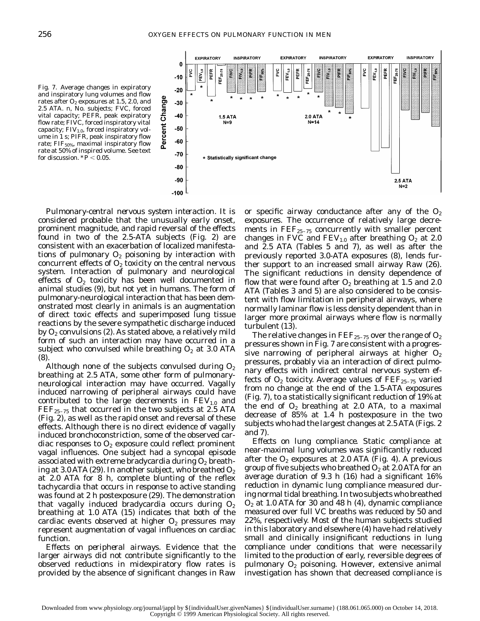Fig. 7. Average changes in expiratory and inspiratory lung volumes and flow rates after  $O_2$  exposures at 1.5, 2.0, and 2.5 ATA. *n*, No. subjects; FVC, forced vital capacity; PEFR, peak expiratory flow rate; FIVC, forced inspiratory vital capacity;  $FIV_{1.0}$ , forced inspiratory volume in 1 s; PIFR, peak inspiratory flow rate;  $FIF<sub>50%</sub>$ , maximal inspiratory flow rate at 50% of inspired volume. See text

for discussion.  $* \vec{P}$  < 0.05.



*Pulmonary-central nervous system interaction.* It is considered probable that the unusually early onset, prominent magnitude, and rapid reversal of the effects found in two of the 2.5-ATA subjects (Fig. 2) are consistent with an exacerbation of localized manifestations of pulmonary  $O_2$  poisoning by interaction with concurrent effects of  $O<sub>2</sub>$  toxicity on the central nervous system. Interaction of pulmonary and neurological effects of  $O_2$  toxicity has been well documented in animal studies (9), but not yet in humans. The form of pulmonary-neurological interaction that has been demonstrated most clearly in animals is an augmentation of direct toxic effects and superimposed lung tissue reactions by the severe sympathetic discharge induced by  $O_2$  convulsions (2). As stated above, a relatively mild form of such an interaction may have occurred in a subject who convulsed while breathing  $O_2$  at 3.0 ATA (8).

Although none of the subjects convulsed during  $O_2$ breathing at 2.5 ATA, some other form of pulmonaryneurological interaction may have occurred. Vagally induced narrowing of peripheral airways could have contributed to the large decrements in  $FEV<sub>1.0</sub>$  and  $\text{FEF}_{25-75}$  that occurred in the two subjects at 2.5 ATA (Fig. 2), as well as the rapid onset and reversal of these effects. Although there is no direct evidence of vagally induced bronchoconstriction, some of the observed cardiac responses to  $O<sub>2</sub>$  exposure could reflect prominent vagal influences. One subject had a syncopal episode associated with extreme bradycardia during  $O<sub>2</sub>$  breathing at 3.0 ATA (29). In another subject, who breathed  $O_2$ at 2.0 ATA for 8 h, complete blunting of the reflex tachycardia that occurs in response to active standing was found at 2 h postexposure (29). The demonstration that vagally induced bradycardia occurs during  $O_2$ breathing at 1.0 ATA (15) indicates that both of the cardiac events observed at higher  $O<sub>2</sub>$  pressures may represent augmentation of vagal influences on cardiac function.

*Effects on peripheral airways.* Evidence that the larger airways did not contribute significantly to the observed reductions in midexpiratory flow rates is provided by the absence of significant changes in Raw or specific airway conductance after any of the  $O_2$ exposures. The occurrence of relatively large decrements in  $\text{FEF}_{25-75}$  concurrently with smaller percent changes in FVC and  $FEV_{1.0}$  after breathing  $O_2$  at 2.0 and 2.5 ATA (Tables 5 and 7), as well as after the previously reported 3.0-ATA exposures (8), lends further support to an increased small airway Raw (26). The significant reductions in density dependence of flow that were found after  $O_2$  breathing at 1.5 and 2.0 ATA (Tables 3 and 5) are also considered to be consistent with flow limitation in peripheral airways, where normally laminar flow is less density dependent than in larger more proximal airways where flow is normally turbulent (13).

The relative changes in FEF $_{\rm 25-75}$  over the range of  $\rm O_2$ pressures shown in Fig. 7 are consistent with a progressive narrowing of peripheral airways at higher  $O_2$ pressures, probably via an interaction of direct pulmonary effects with indirect central nervous system effects of  $O_2$  toxicity. Average values of  $\text{FEF}_{25-75}$  varied from no change at the end of the 1.5-ATA exposures (Fig. 7), to a statistically significant reduction of 19% at the end of  $O_2$  breathing at 2.0 ATA, to a maximal decrease of 85% at 1.4 h postexposure in the two subjects who had the largest changes at 2.5 ATA (Figs. 2 and 7).

*Effects on lung compliance.* Static compliance at near-maximal lung volumes was significantly reduced after the  $O_2$  exposures at 2.0 ATA (Fig. 4). A previous group of five subjects who breathed  $O_2$  at 2.0 ATA for an average duration of 9.3 h (16) had a significant 16% reduction in dynamic lung compliance measured during normal tidal breathing. In two subjects who breathed  $O<sub>2</sub>$  at 1.0 ATA for 30 and 48 h (4), dynamic compliance measured over full VC breaths was reduced by 50 and 22%, respectively. Most of the human subjects studied in this laboratory and elsewhere (4) have had relatively small and clinically insignificant reductions in lung compliance under conditions that were necessarily limited to the production of early, reversible degrees of pulmonary  $O_2$  poisoning. However, extensive animal investigation has shown that decreased compliance is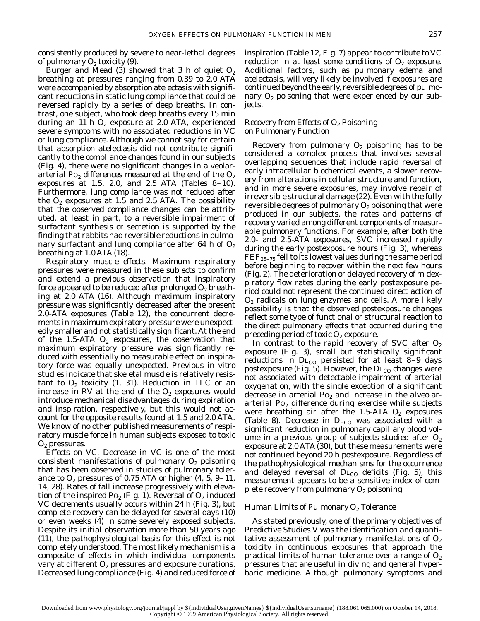consistently produced by severe to near-lethal degrees of pulmonary  $O_2$  toxicity (9).

Burger and Mead (3) showed that 3 h of quiet  $O_2$ breathing at pressures ranging from 0.39 to 2.0 ATA were accompanied by absorption atelectasis with significant reductions in static lung compliance that could be reversed rapidly by a series of deep breaths. In contrast, one subject, who took deep breaths every 15 min during an 11-h  $O_2$  exposure at 2.0 ATA, experienced severe symptoms with no associated reductions in VC or lung compliance. Although we cannot say for certain that absorption atelectasis did not contribute significantly to the compliance changes found in our subjects (Fig. 4), there were no significant changes in alveolararterial P $o_2$  differences measured at the end of the  $O_2$ exposures at 1.5, 2.0, and 2.5 ATA (Tables  $8-10$ ). Furthermore, lung compliance was not reduced after the  $O_2$  exposures at 1.5 and 2.5 ATA. The possibility that the observed compliance changes can be attributed, at least in part, to a reversible impairment of surfactant synthesis or secretion is supported by the finding that rabbits had reversible reductions in pulmonary surfactant and lung compliance after 64 h of  $O<sub>2</sub>$ breathing at 1.0 ATA (18).

*Respiratory muscle effects.* Maximum respiratory pressures were measured in these subjects to confirm and extend a previous observation that inspiratory force appeared to be reduced after prolonged  $O_2$  breathing at 2.0 ATA (16). Although maximum inspiratory pressure was significantly decreased after the present 2.0-ATA exposures (Table 12), the concurrent decrements in maximum expiratory pressure were unexpectedly smaller and not statistically significant. At the end of the 1.5-ATA  $O_2$  exposures, the observation that maximum expiratory pressure was significantly reduced with essentially no measurable effect on inspiratory force was equally unexpected. Previous in vitro studies indicate that skeletal muscle is relatively resistant to  $O_2$  toxicity (1, 31). Reduction in TLC or an increase in RV at the end of the  $O_2$  exposures would introduce mechanical disadvantages during expiration and inspiration, respectively, but this would not account for the opposite results found at 1.5 and 2.0 ATA. We know of no other published measurements of respiratory muscle force in human subjects exposed to toxic  $O<sub>2</sub>$  pressures.

*Effects on VC.* Decrease in VC is one of the most consistent manifestations of pulmonary  $O<sub>2</sub>$  poisoning that has been observed in studies of pulmonary tolerance to  $O_2$  pressures of 0.75 ATA or higher (4, 5, 9-11, 14, 28). Rates of fall increase progressively with elevation of the inspired  $Po_2$  (Fig. 1). Reversal of  $O_2$ -induced VC decrements usually occurs within 24 h (Fig. 3), but complete recovery can be delayed for several days (10) or even weeks (4) in some severely exposed subjects. Despite its initial observation more than 50 years ago (11), the pathophysiological basis for this effect is not completely understood. The most likely mechanism is a composite of effects in which individual components vary at different  $O_2$  pressures and exposure durations. Decreased lung compliance (Fig. 4) and reduced force of inspiration (Table 12, Fig. 7) appear to contribute to VC reduction in at least some conditions of  $O<sub>2</sub>$  exposure. Additional factors, such as pulmonary edema and atelectasis, will very likely be involved if exposures are continued beyond the early, reversible degrees of pulmonary  $O_2$  poisoning that were experienced by our subjects.

# *Recovery from Effects of O2 Poisoning on Pulmonary Function*

Recovery from pulmonary  $O_2$  poisoning has to be considered a complex process that involves several overlapping sequences that include rapid reversal of early intracellular biochemical events, a slower recovery from alterations in cellular structure and function, and in more severe exposures, may involve repair of irreversible structural damage (22). Even with the fully reversible degrees of pulmonary  $O_2$  poisoning that were produced in our subjects, the rates and patterns of recovery varied among different components of measurable pulmonary functions. For example, after both the 2.0- and 2.5-ATA exposures, SVC increased rapidly during the early postexposure hours (Fig. 3), whereas  $\text{FEF}_{25-75}$  fell to its lowest values during the same period before beginning to recover within the next few hours (Fig. 2). The deterioration or delayed recovery of midexpiratory flow rates during the early postexposure period could not represent the continued direct action of  $O<sub>2</sub>$  radicals on lung enzymes and cells. A more likely possibility is that the observed postexposure changes reflect some type of functional or structural reaction to the direct pulmonary effects that occurred during the preceding period of toxic  $O_2$  exposure.

In contrast to the rapid recovery of SVC after  $O<sub>2</sub>$ exposure (Fig. 3), small but statistically significant reductions in  $DL_{CO}$  persisted for at least 8-9 days postexposure (Fig. 5). However, the  $D_{\text{L}_{\text{CO}}}$  changes were not associated with detectable impairment of arterial oxygenation, with the single exception of a significant decrease in arterial  $P_0$  and increase in the alveolararterial  $Po<sub>2</sub>$  difference during exercise while subjects were breathing air after the 1.5-ATA  $O<sub>2</sub>$  exposures (Table 8). Decrease in  $DL_{CO}$  was associated with a significant reduction in pulmonary capillary blood volume in a previous group of subjects studied after  $O_2$ exposure at 2.0 ATA (30), but these measurements were not continued beyond 20 h postexposure. Regardless of the pathophysiological mechanisms for the occurrence and delayed reversal of  $DL_{CO}$  deficits (Fig. 5), this measurement appears to be a sensitive index of complete recovery from pulmonary  $O_2$  poisoning.

# *Human Limits of Pulmonary O2 Tolerance*

As stated previously, one of the primary objectives of Predictive Studies V was the identification and quantitative assessment of pulmonary manifestations of  $O<sub>2</sub>$ toxicity in continuous exposures that approach the practical limits of human tolerance over a range of  $O_2$ pressures that are useful in diving and general hyperbaric medicine. Although pulmonary symptoms and

Downloaded from www.physiology.org/journal/jappl by \${individualUser.givenNames} \${individualUser.surname} (188.061.065.000) on October 14, 2018. Copyright © 1999 American Physiological Society. All rights reserved.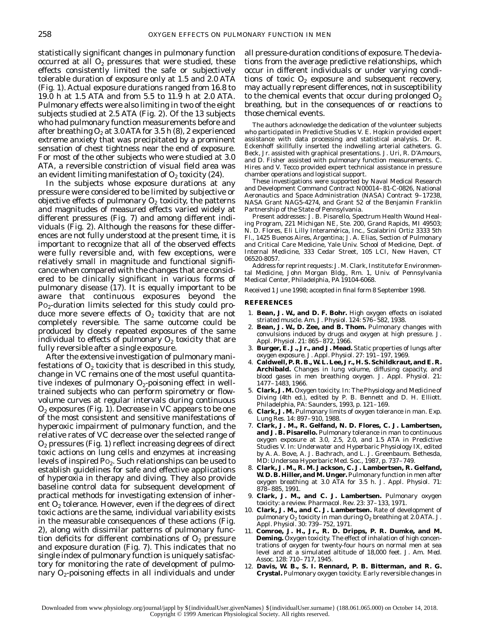statistically significant changes in pulmonary function occurred at all  $O_2$  pressures that were studied, these effects consistently limited the safe or subjectively tolerable duration of exposure only at 1.5 and 2.0 ATA (Fig. 1). Actual exposure durations ranged from 16.8 to 19.0 h at 1.5 ATA and from 5.5 to 11.9 h at 2.0 ATA. Pulmonary effects were also limiting in two of the eight subjects studied at 2.5 ATA (Fig. 2). Of the 13 subjects who had pulmonary function measurements before and after breathing  $O_2$  at 3.0 ATA for 3.5 h (8), 2 experienced extreme anxiety that was precipitated by a prominent sensation of chest tightness near the end of exposure. For most of the other subjects who were studied at 3.0 ATA, a reversible constriction of visual field area was an evident limiting manifestation of  $O_2$  toxicity (24).

In the subjects whose exposure durations at any pressure were considered to be limited by subjective or objective effects of pulmonary  $O_2$  toxicity, the patterns and magnitudes of measured effects varied widely at different pressures (Fig. 7) and among different individuals (Fig. 2). Although the reasons for these differences are not fully understood at the present time, it is important to recognize that all of the observed effects were fully reversible and, with few exceptions, were relatively small in magnitude and functional significance when compared with the changes that are considered to be clinically significant in various forms of pulmonary disease (17). It is equally important to be aware that continuous exposures beyond the  $Po_2$ -duration limits selected for this study could produce more severe effects of  $O_2$  toxicity that are not completely reversible. The same outcome could be produced by closely repeated exposures of the same individual to effects of pulmonary  $O<sub>2</sub>$  toxicity that are fully reversible after a single exposure.

After the extensive investigation of pulmonary manifestations of  $O_2$  toxicity that is described in this study, change in VC remains one of the most useful quantitative indexes of pulmonary  $O_2$ -poisoning effect in welltrained subjects who can perform spirometry or flowvolume curves at regular intervals during continuous  $O<sub>2</sub>$  exposures (Fig. 1). Decrease in VC appears to be one of the most consistent and sensitive manifestations of hyperoxic impairment of pulmonary function, and the relative rates of VC decrease over the selected range of O2 pressures (Fig. 1) reflect increasing degrees of direct toxic actions on lung cells and enzymes at increasing levels of inspired  $P_0$ . Such relationships can be used to establish guidelines for safe and effective applications of hyperoxia in therapy and diving. They also provide baseline control data for subsequent development of practical methods for investigating extension of inherent  $O_2$  tolerance. However, even if the degrees of direct toxic actions are the same, individual variability exists in the measurable consequences of these actions (Fig. 2), along with dissimilar patterns of pulmonary function deficits for different combinations of  $O<sub>2</sub>$  pressure and exposure duration (Fig. 7). This indicates that no single index of pulmonary function is uniquely satisfactory for monitoring the rate of development of pulmonary  $O_2$ -poisoning effects in all individuals and under

all pressure-duration conditions of exposure. The deviations from the average predictive relationships, which occur in different individuals or under varying conditions of toxic  $O_2$  exposure and subsequent recovery, may actually represent differences, not in susceptibility to the chemical events that occur during prolonged  $O_2$ breathing, but in the consequences of or reactions to those chemical events.

The authors acknowledge the dedication of the volunteer subjects who participated in Predictive Studies V. E. Hopkin provided expert assistance with data processing and statistical analysis. Dr. R. Eckenhoff skillfully inserted the indwelling arterial catheters. G. Beck, Jr. assisted with graphical presentations. J. Uri, R. D'Amours, and D. Fisher assisted with pulmonary function measurements. C. Hires and V. Tecco provided expert technical assistance in pressure chamber operations and logistical support.

These investigations were supported by Naval Medical Research and Development Command Contract N00014–81-C-0826, National Aeronautics and Space Administration (NASA) Contract 9–17238, NASA Grant NAG5-4274, and Grant 52 of the Benjamin Franklin Partnership of the State of Pennsylvania.

Present addresses: J. B. Pisarello, Spectrum Health Wound Healing Program, 221 Michigan NE, Ste. 200, Grand Rapids, MI 49503; N. D. Flores, Eli Lilly Interamérica, Inc., Scalabrini Ortiz 3333 5th Fl., 1425 Buenos Aires, Argentina; J. A. Elias, Section of Pulmonary and Critical Care Medicine, Yale Univ. School of Medicine, Dept. of Internal Medicine, 333 Cedar Street, 105 LCI, New Haven, CT 06520-8057.

Address for reprint requests: J. M. Clark, Institute for Environmental Medicine, John Morgan Bldg., Rm. 1, Univ. of Pennsylvania Medical Center, Philadelphia, PA 19104-6068.

Received 1 June 1998; accepted in final form 8 September 1998.

#### **REFERENCES**

- 1. **Bean, J. W., and D. F. Bohr.** High oxygen effects on isolated striated muscle. *Am. J. Physiol.* 124: 576–582, 1938.
- 2. **Bean, J. W., D. Zee, and B. Thom.** Pulmonary changes with convulsions induced by drugs and oxygen at high pressure. *J. Appl. Physiol.* 21: 865–872, 1966.
- 3. **Burger, E. J., Jr., and J. Mead.** Static properties of lungs after oxygen exposure. *J. Appl. Physiol.* 27: 191–197, 1969.
- 4. **Caldwell, P. R. B., W. L. Lee, Jr., H. S. Schildkraut, and E. R. Archibald.** Changes in lung volume, diffusing capacity, and blood gases in men breathing oxygen. *J. Appl. Physiol.* 21: 1477–1483, 1966.
- 5. **Clark, J. M.** Oxygen toxicity. In: *The Physiology and Medicine of Diving* (4th ed.), edited by P. B. Bennett and D. H. Elliott. Philadelphia, PA: Saunders, 1993, p. 121–169.
- 6. **Clark, J. M.** Pulmonary limits of oxygen tolerance in man. *Exp. Lung Res.* 14: 897–910, 1988.
- 7. **Clark, J. M., R. Gelfand, N. D. Flores, C. J. Lambertsen, and J. B. Pisarello.** Pulmonary tolerance in man to continuous oxygen exposure at 3.0, 2.5, 2.0, and 1.5 ATA in Predictive Studies V. In: *Underwater and Hyperbaric Physiology IX*, edited by A. A. Bove, A. J. Bachrach, and L. J. Greenbaum. Bethesda, MD: Undersea Hyperbaric Med. Soc., 1987, p. 737–749.
- 8. **Clark, J. M., R. M. Jackson, C. J. Lambertsen, R. Gelfand, W. D. B. Hiller, and M. Unger.** Pulmonary function in men after oxygen breathing at 3.0 ATA for 3.5 h. *J. Appl. Physiol.* 71: 878–885, 1991.
- 9. **Clark, J. M., and C. J. Lambertsen.** Pulmonary oxygen toxicity: a review. *Pharmacol. Rev.* 23: 37–133, 1971.
- 10. **Clark, J. M., and C. J. Lambertsen.** Rate of development of pulmonary  $O_2$  toxicity in man during  $O_2$  breathing at 2.0 ATA. *J. Appl. Physiol.* 30: 739–752, 1971.
- 11. **Comroe, J. H., Jr., R. D. Dripps, P. R. Dumke, and M. Deming.** Oxygen toxicity. The effect of inhalation of high concentrations of oxygen for twenty-four hours on normal men at sea level and at a simulated altitude of 18,000 feet. *J. Am. Med. Assoc.* 128: 710–717, 1945.
- 12. **Davis, W. B., S. I. Rennard, P. B. Bitterman, and R. G. Crystal.** Pulmonary oxygen toxicity. Early reversible changes in